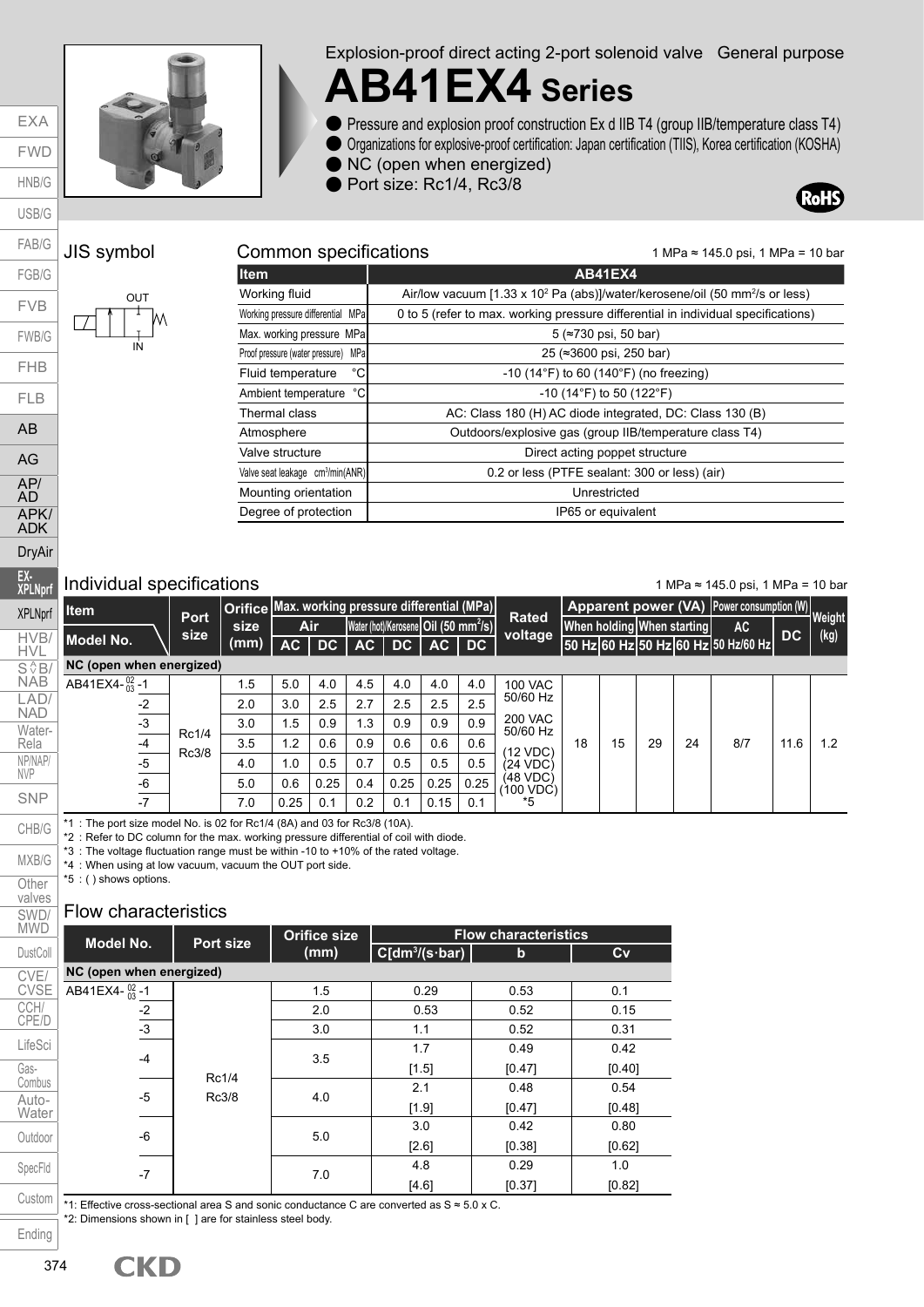



Explosion-proof direct acting 2-port solenoid valve General purpose

## **AB41EX4 Series**

- Pressure and explosion proof construction Ex d IIB T4 (group IIB/temperature class T4)
- Organizations for explosive-proof certification: Japan certification (TIIS), Korea certification (KOSHA)
- NC (open when energized)
- Port size: Rc1/4, Rc3/8



#### JIS symbol Common specifications

| J | OUT<br>t<br>IŅ |
|---|----------------|
|   |                |

| <b>I</b> tem                        | AB41EX4                                                                                             |
|-------------------------------------|-----------------------------------------------------------------------------------------------------|
| Working fluid                       | Air/low vacuum [1.33 x 10 <sup>2</sup> Pa (abs)]/water/kerosene/oil (50 mm <sup>2</sup> /s or less) |
| Working pressure differential MPa   | 0 to 5 (refer to max. working pressure differential in individual specifications)                   |
| Max. working pressure MPa           | $5$ ( $\approx$ 730 psi, 50 bar)                                                                    |
| Proof pressure (water pressure) MPa | 25 (≈3600 psi, 250 bar)                                                                             |

| Max. working pressure MPal                   | $5$ ( $\approx$ /30 psi, 50 par)                             |
|----------------------------------------------|--------------------------------------------------------------|
| Proof pressure (water pressure) MPa          | 25 (≈3600 psi, 250 bar)                                      |
| $^{\circ}$ C<br>Fluid temperature            | $-10$ (14 $\degree$ F) to 60 (140 $\degree$ F) (no freezing) |
| °C<br>Ambient temperature                    | $-10$ (14°F) to 50 (122°F)                                   |
| Thermal class                                | AC: Class 180 (H) AC diode integrated, DC: Class 130 (B)     |
| Atmosphere                                   | Outdoors/explosive gas (group IIB/temperature class T4)      |
| Valve structure                              | Direct acting poppet structure                               |
| Valve seat leakage cm <sup>3</sup> /min(ANR) | 0.2 or less (PTFE sealant: 300 or less) (air)                |
| Mounting orientation                         | Unrestricted                                                 |
| Degree of protection                         | IP65 or equivalent                                           |

#### Individual specifications

1 MPa ≈ 145.0 psi, 1 MPa = 10 bar

1 MPa ≈ 145.0 psi, 1 MPa = 10 bar

| <b>Item</b>              |                     | Orifice Max. working pressure differential (MPa) |      |      |                                                  |                 |      |      |                            |    |    |    |                            |                                     |                                                                   |     |
|--------------------------|---------------------|--------------------------------------------------|------|------|--------------------------------------------------|-----------------|------|------|----------------------------|----|----|----|----------------------------|-------------------------------------|-------------------------------------------------------------------|-----|
|                          | <b>Port</b><br>size | size                                             |      | Air  | Water (hot)/Kerosene Oil (50 mm <sup>2</sup> /s) |                 |      |      | <b>Rated</b><br>voltage    |    |    |    | When holding When starting | <b>AC</b>                           |                                                                   |     |
| <b>Model No.</b>         |                     | (mm)                                             | AC.  | DC   | AC                                               | $\overline{D}C$ | AC   | DC   |                            |    |    |    |                            | 50 Hz 60 Hz 50 Hz 60 Hz 50 Hz/60 Hz |                                                                   |     |
| NC (open when energized) |                     |                                                  |      |      |                                                  |                 |      |      |                            |    |    |    |                            |                                     |                                                                   |     |
| AB41EX4- $^{02}_{03}$ -1 |                     | 1.5                                              | 5.0  | 4.0  | 4.5                                              | 4.0             | 4.0  | 4.0  | <b>100 VAC</b>             |    |    |    |                            |                                     |                                                                   |     |
| $-2$                     |                     | 2.0                                              | 3.0  | 2.5  | 2.7                                              | 2.5             | 2.5  | 2.5  | 50/60 Hz                   |    |    |    |                            |                                     |                                                                   |     |
| $-3$                     |                     | 3.0                                              | 1.5  | 0.9  | 1.3                                              | 0.9             | 0.9  | 0.9  | <b>200 VAC</b><br>50/60 Hz |    |    |    |                            |                                     |                                                                   |     |
| $-4$                     | Rc1/4               | 3.5                                              | 1.2  | 0.6  | 0.9                                              | 0.6             | 0.6  | 0.6  | 12 VDC)                    | 18 | 15 | 29 | 24                         | 8/7                                 | 11.6                                                              | 1.2 |
| $-5$                     | Rc3/8               | 4.0                                              | 1.0  | 0.5  | 0.7                                              | 0.5             | 0.5  | 0.5  | (24 VDC)                   |    |    |    |                            |                                     |                                                                   |     |
| -6                       |                     | 5.0                                              | 0.6  | 0.25 | 0.4                                              | 0.25            | 0.25 | 0.25 | (48 VDC)<br>100 VDC)       |    |    |    |                            |                                     |                                                                   |     |
| $-7$                     |                     | 7.0                                              | 0.25 | 0.1  | 0.2                                              | 0.1             | 0.15 | 0.1  | *5                         |    |    |    |                            |                                     | Apparent power (VA) Power consumption (W)<br>Weight<br>(kg)<br>DC |     |

\*1 : The port size model No. is 02 for Rc1/4 (8A) and 03 for Rc3/8 (10A).

\*2 : Refer to DC column for the max. working pressure differential of coil with diode.

\*3 : The voltage fluctuation range must be within -10 to +10% of the rated voltage.

\*4 : When using at low vacuum, vacuum the OUT port side.

\*5 : ( ) shows options.

#### Flow characteristics

| <b>MWD</b>     |                                                                                                   |           | <b>Orifice size</b> |                  | <b>Flow characteristics</b> |        |
|----------------|---------------------------------------------------------------------------------------------------|-----------|---------------------|------------------|-----------------------------|--------|
| DustColl       | Model No.                                                                                         | Port size | (mm)                | $C(dm^3/(s·bar)$ | b                           | Cv     |
| CVE/           | NC (open when energized)                                                                          |           |                     |                  |                             |        |
| <b>CVSE</b>    | AB41EX4- $^{02}_{03}$ -1                                                                          |           | 1.5                 | 0.29             | 0.53                        | 0.1    |
| CCH/           | $-2$                                                                                              |           | 2.0                 | 0.53             | 0.52                        | 0.15   |
| CPE/D          | $-3$                                                                                              |           | 3.0                 | 1.1              | 0.52                        | 0.31   |
| LifeSci        |                                                                                                   |           | 3.5                 | 1.7              | 0.49                        | 0.42   |
| Gas-           | $-4$                                                                                              |           |                     | [1.5]            | [0.47]                      | [0.40] |
| Combus         |                                                                                                   | Rc1/4     |                     | 2.1              | 0.48                        | 0.54   |
| Auto-<br>Water | $-5$                                                                                              | Rc3/8     | 4.0                 | [1.9]            | [0.47]                      | [0.48] |
|                |                                                                                                   |           |                     | 3.0              | 0.42                        | 0.80   |
| Outdoor        | $-6$                                                                                              |           | 5.0                 | [2.6]            | [0.38]                      | [0.62] |
| SpecFld        |                                                                                                   |           |                     | 4.8              | 0.29                        | 1.0    |
|                | $-7$                                                                                              |           | 7.0                 | [4.6]            | [0.37]                      | [0.82] |
| Custom         | *1: Effective cross-sectional area S and sonic conductance C are converted as S $\approx$ 5.0 x C |           |                     |                  |                             |        |

\*1: Effective cross-sectional area S and sonic conductance C are converted as S ≈ 5.0 x C. \*2: Dimensions shown in [ ] are for stainless steel body.

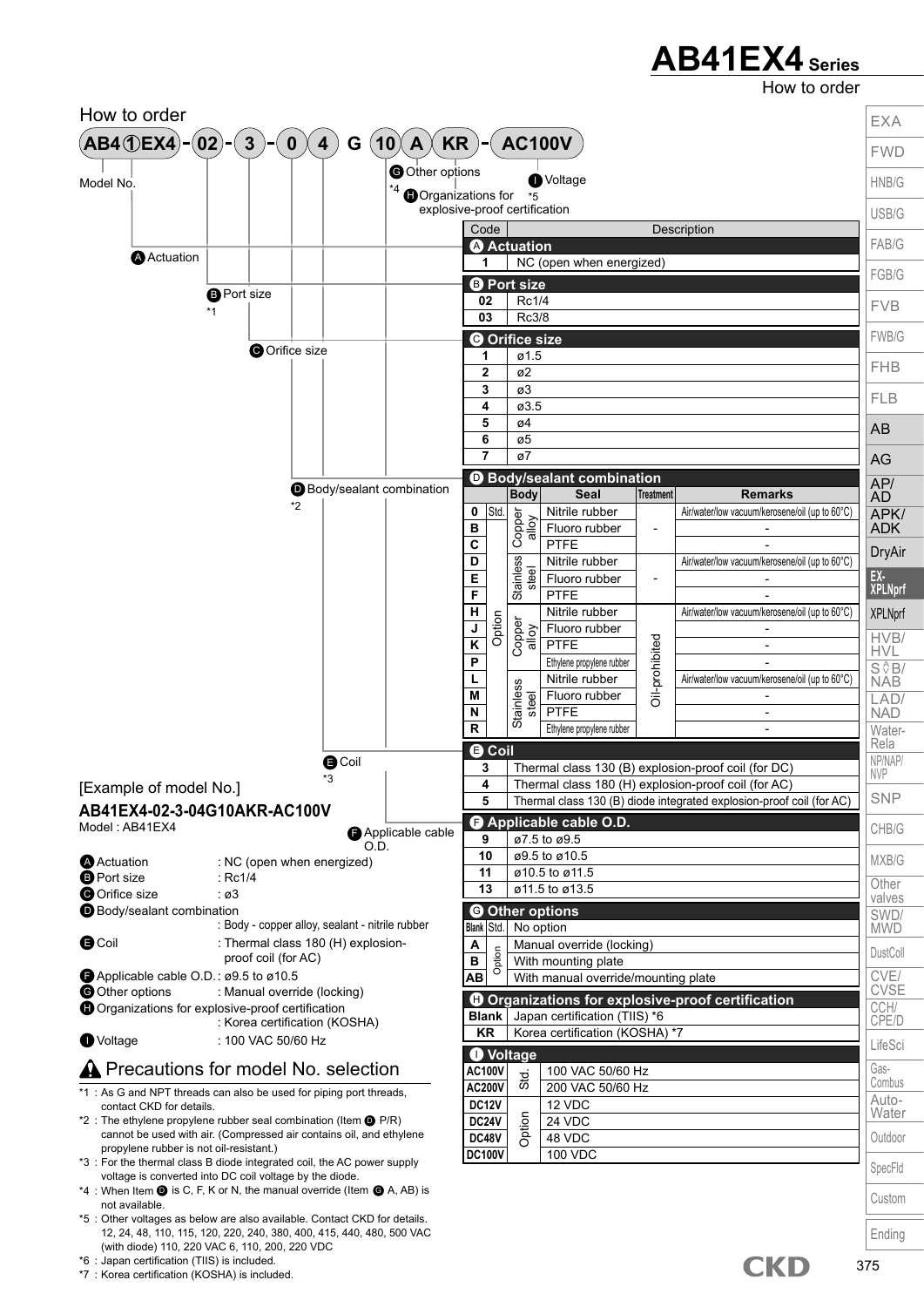### **AB41EX4 Series**

How to order

375



\*6 : Japan certification (TIIS) is included.

\*7 : Korea certification (KOSHA) is included.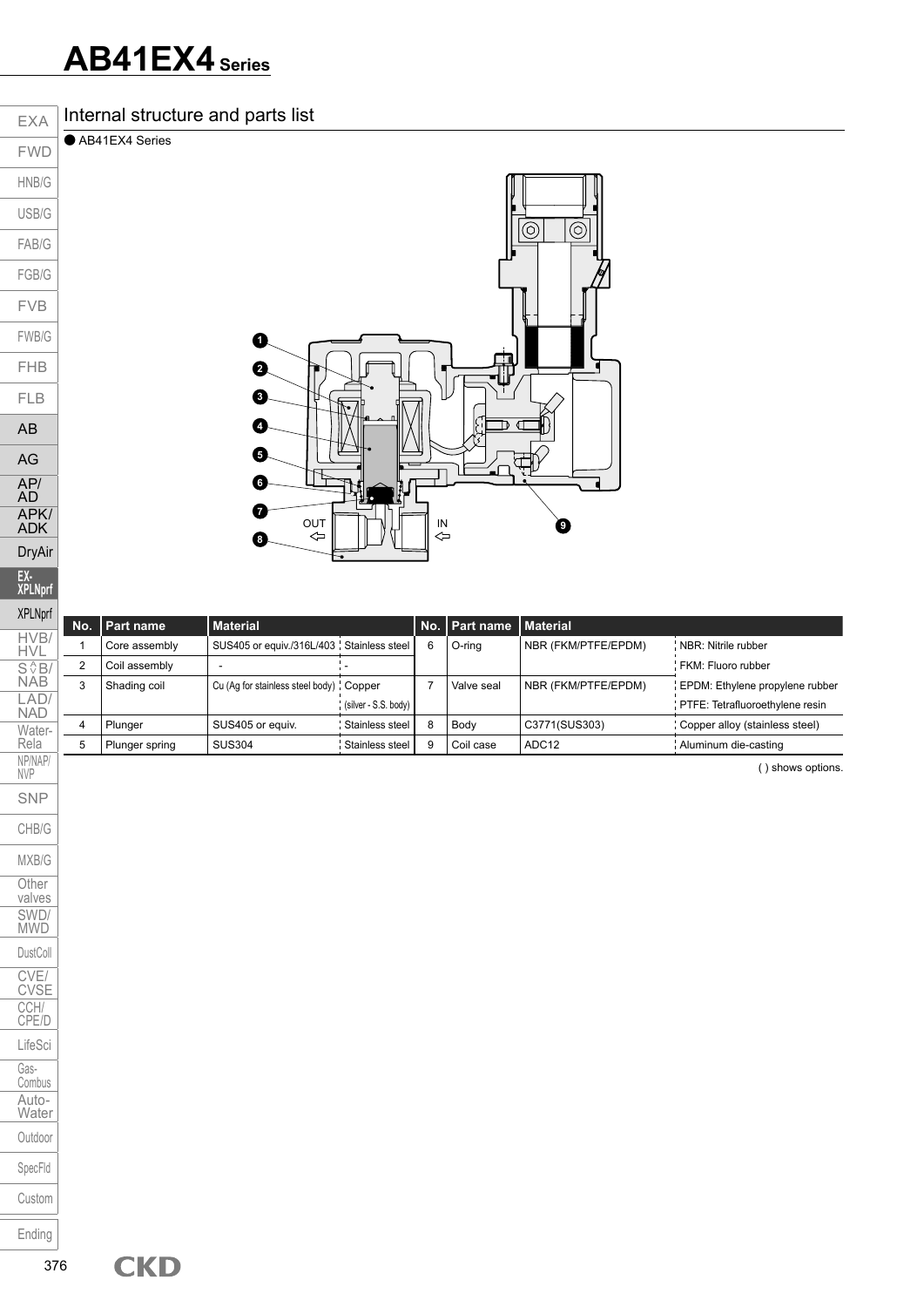### **AB41EX4 Series**

USB/G

FAB/G FGB/G FVB

FWB/G FHB

FLB AB

AG AP/ AD APK/ ADK DryAir **EX-XPLNprf**

Rela NP/NAP/ NVP SNP CHB/G

MXB/G **Other** valves SWD/ MWD DustColl CVE/ CVSE CCH/ CPE/D LifeSci Gas-Combus Auto-Water Outdoor SpecFld



| <b>XPLNprf</b>         |     |                |                                           |                      |   |                            |                     |                                 |
|------------------------|-----|----------------|-------------------------------------------|----------------------|---|----------------------------|---------------------|---------------------------------|
|                        | No. | Part name      | <b>Material</b>                           |                      |   | No.   Part name   Material |                     |                                 |
| HVB/<br><b>HVL</b>     |     | Core assembly  | SUS405 or equiv./316L/403 Stainless steel |                      | f | O-rina                     | NBR (FKM/PTFE/EPDM) | NBR: Nitrile rubber             |
|                        | 2   | Coil assembly  |                                           |                      |   |                            |                     | FKM: Fluoro rubber              |
| S <sup>AB</sup><br>NAB | 3   | Shading coil   | Cu (Ag for stainless steel body) ' Copper |                      |   | Valve seal                 | NBR (FKM/PTFE/EPDM) | EPDM: Ethylene propylene rubber |
| LAD/<br><b>NAD</b>     |     |                |                                           | (silver - S.S. body) |   |                            |                     | PTFE: Tetrafluoroethylene resin |
| Water-                 |     | Plunger        | SUS405 or equiv.                          | Stainless steel      |   | Body                       | C3771(SUS303)       | Copper alloy (stainless steel)  |
| Rela                   | 5   | Plunger spring | <b>SUS304</b>                             | Stainless steel      |   | Coil case                  | ADC <sub>12</sub>   | Aluminum die-casting            |

( ) shows options.

Custom

Ending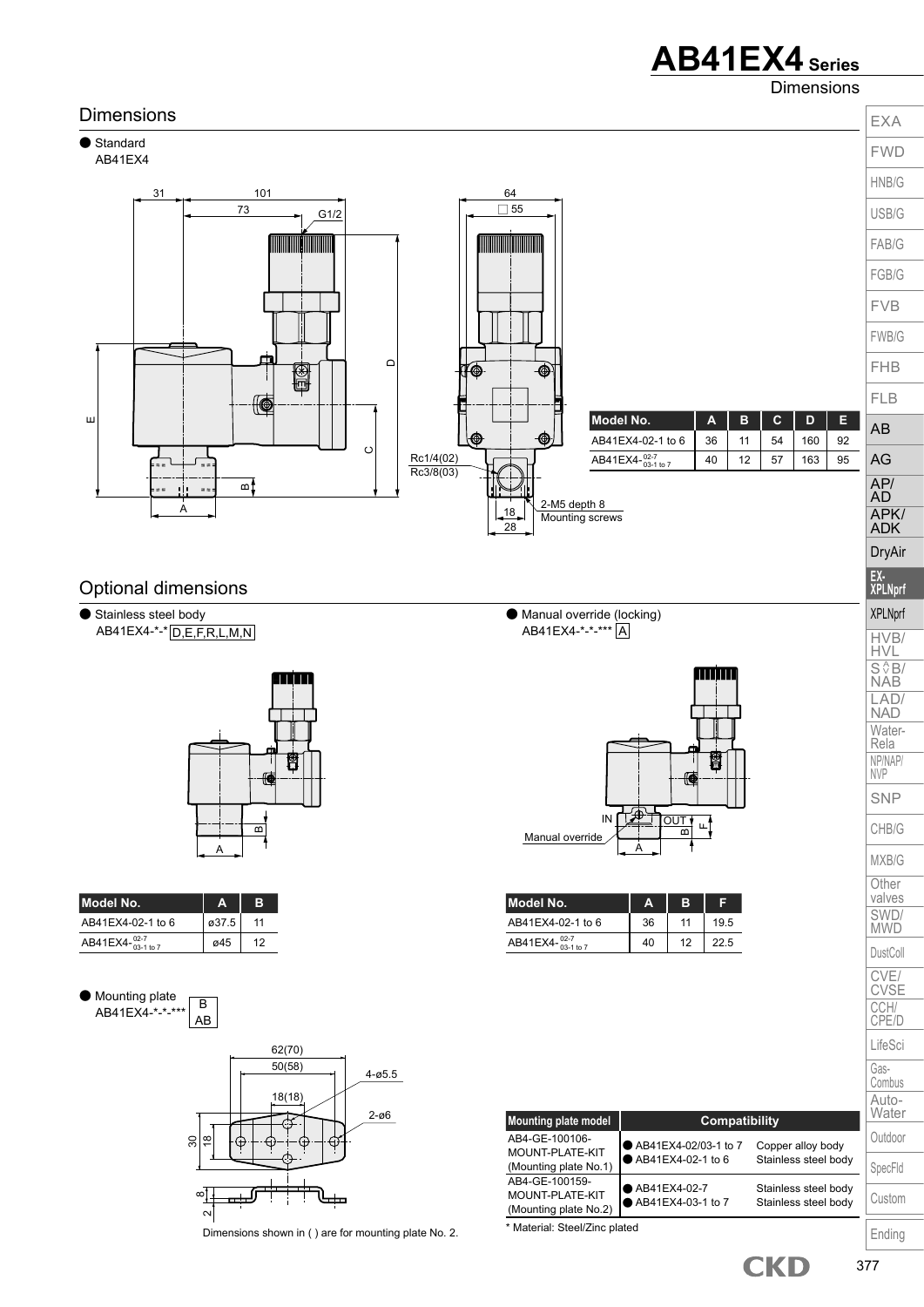### **AB41EX4 Series**

Dimensions

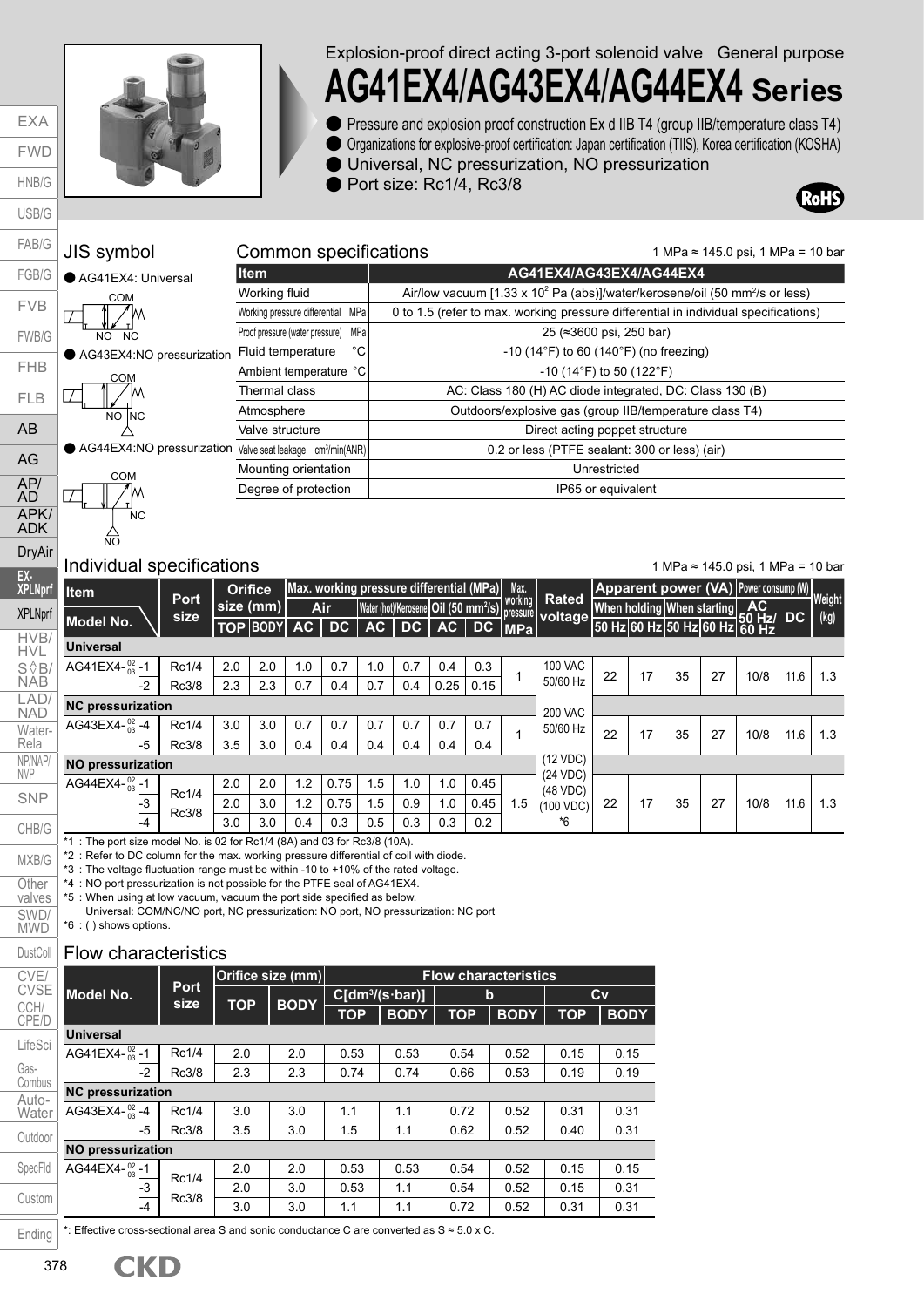EXA FWD HNB/G USB/G FAB/G FGB/G FVB FWB/G FHB FLB AB AG AP/ AD APK/ ADK

> DryAir **EX-**

 $\Box$ 

MXB/G **Other** valves SWD/ **MWD** DustColl



Explosion-proof direct acting 3-port solenoid valve General purpose

## **AG41EX4**/**AG43EX4**/**AG44EX4 Series**

● Pressure and explosion proof construction Ex d IIB T4 (group IIB/temperature class T4) ● Organizations for explosive-proof certification: Japan certification (TIIS), Korea certification (KOSHA)

● Universal, NC pressurization, NO pressurization

● Port size: Rc1/4, Rc3/8

Common specifications



### ● AG44EX4:NO pressurization ● AG43EX4:NO pressurization JIS symbol ● AG41EX4: Universal NO NC <u>COM</u>  $\overline{NO}$   $\overline{NC}$ C<sub>OM</sub>

\_<br>NC:

COM

NO



#### Individual specifications

1 MPa ≈ 145.0 psi, 1 MPa = 10 bar

1 MPa ≈ 145.0 psi, 1 MPa = 10 bar

| EX-<br>XPLNprf        | litem                                                                                  | <b>Port</b> |           | <b>Orifice</b>  |      |      |     |     |      | Max. working pressure differential (MPa)         | Max.    |                                  |    |    |                            |    |                                                            |      |                                                                           |
|-----------------------|----------------------------------------------------------------------------------------|-------------|-----------|-----------------|------|------|-----|-----|------|--------------------------------------------------|---------|----------------------------------|----|----|----------------------------|----|------------------------------------------------------------|------|---------------------------------------------------------------------------|
| <b>XPLNprf</b>        |                                                                                        | size        | size (mm) |                 |      | Air  |     |     |      | Water (hot)/Kerosene Oil (50 mm <sup>2</sup> /s) | working | <b>Rated</b><br>pressure voltage |    |    | When holding When starting |    | AC                                                         |      |                                                                           |
| HVB/                  | <b>Model No.</b>                                                                       |             |           | <b>TOP BODY</b> | AC . | DC.  | AC  | DC. | AC   | DC                                               | IMPa    |                                  |    |    |                            |    | $\frac{1}{150}$ Hz 60 Hz 50 Hz 60 Hz 60 Hz $\frac{1}{150}$ |      | Apparent power (VA) Power consump (W) Weight<br>(kg)<br>1.3<br>1.3<br>1.3 |
| <b>HVL</b>            | <b>Universal</b>                                                                       |             |           |                 |      |      |     |     |      |                                                  |         |                                  |    |    |                            |    |                                                            |      |                                                                           |
| $S \sqrt[4]{B}$       | AG41EX4- $^{02}_{03}$ -1                                                               | Rc1/4       | 2.0       | 2.0             | 1.0  | 0.7  | 1.0 | 0.7 | 0.4  | 0.3                                              |         | <b>100 VAC</b>                   | 22 | 17 | 35                         | 27 | 10/8                                                       | 11.6 |                                                                           |
| <b>NAB</b>            | -2                                                                                     | Rc3/8       | 2.3       | 2.3             | 0.7  | 0.4  | 0.7 | 0.4 | 0.25 | 0.15                                             |         | 50/60 Hz                         |    |    |                            |    |                                                            |      |                                                                           |
| LAD/<br><b>NAD</b>    | <b>NC pressurization</b>                                                               |             |           |                 |      |      |     |     |      |                                                  |         | <b>200 VAC</b>                   |    |    |                            |    |                                                            |      |                                                                           |
| Water-                | AG43EX4- $^{02}_{03}$ -4                                                               | Rc1/4       | 3.0       | 3.0             | 0.7  | 0.7  | 0.7 | 0.7 | 0.7  | 0.7                                              |         | 50/60 Hz                         | 22 | 17 | 35                         | 27 | 10/8                                                       | 11.6 |                                                                           |
| Rela                  | -5                                                                                     | Rc3/8       | 3.5       | 3.0             | 0.4  | 0.4  | 0.4 | 0.4 | 0.4  | 0.4                                              |         |                                  |    |    |                            |    |                                                            |      |                                                                           |
| NP/NAP/<br><b>NVP</b> | <b>NO pressurization</b>                                                               |             |           |                 |      |      |     |     |      |                                                  |         | (12 VDC)                         |    |    |                            |    |                                                            |      |                                                                           |
|                       | AG44EX4- $^{02}_{03}$ -1                                                               | Rc1/4       | 2.0       | 2.0             | 1.2  | 0.75 | 1.5 | 1.0 | 1.0  | 0.45                                             |         | (24 VDC)<br>(48 VDC)             |    |    |                            |    |                                                            |      |                                                                           |
| <b>SNP</b>            | -3                                                                                     | Rc3/8       | 2.0       | 3.0             | 1.2  | 0.75 | 1.5 | 0.9 | 1.0  | 0.45                                             | 1.5     | (100 VDC)                        | 22 | 17 | 35                         | 27 | 10/8                                                       | 11.6 |                                                                           |
| CHB/G                 | $-4$                                                                                   |             | 3.0       | 3.0             | 0.4  | 0.3  | 0.5 | 0.3 | 0.3  | 0.2                                              |         | *6                               |    |    |                            |    |                                                            |      |                                                                           |
|                       | $*1 \cdot$ The next eize medel Ne is 02 for Be1/1/0 0 and 02 for Be2/8 (10 $\lambda$ ) |             |           |                 |      |      |     |     |      |                                                  |         |                                  |    |    |                            |    |                                                            |      |                                                                           |

The port size model No. is 02 for Rc1/4 (8A) and 03 for Rc3/8 (10A)

\*2 : Refer to DC column for the max. working pressure differential of coil with diode.

\*3 : The voltage fluctuation range must be within -10 to +10% of the rated voltage.

\*4 : NO port pressurization is not possible for the PTFE seal of AG41EX4.

\*5 : When using at low vacuum, vacuum the port side specified as below.

Universal: COM/NC/NO port, NC pressurization: NO port, NO pressurization: NC port

#### \*6 : ( ) shows options.

#### Flow characteristics

| CVE/           |                          |                     |            | Orifice size (mm) | <b>Flow characteristics</b> |             |            |             |            |             |  |  |  |  |
|----------------|--------------------------|---------------------|------------|-------------------|-----------------------------|-------------|------------|-------------|------------|-------------|--|--|--|--|
| <b>CVSE</b>    | Model No.                | <b>Port</b><br>size | <b>TOP</b> | <b>BODY</b>       | $C[dm^3/(s \cdot bar)]$     |             |            | $\mathbf b$ | Cv         |             |  |  |  |  |
| CCH/<br>CPE/D  |                          |                     |            |                   | <b>TOP</b>                  | <b>BODY</b> | <b>TOP</b> | <b>BODY</b> | <b>TOP</b> | <b>BODY</b> |  |  |  |  |
| LifeSci        | <b>Universal</b>         |                     |            |                   |                             |             |            |             |            |             |  |  |  |  |
|                | AG41EX4- $^{02}_{03}$ -1 | Rc1/4               | 2.0        | 2.0               | 0.53                        | 0.53        | 0.54       | 0.52        | 0.15       | 0.15        |  |  |  |  |
| Gas-<br>Combus | $-2$                     | Rc3/8               | 2.3        | 2.3               | 0.74                        | 0.74        | 0.66       | 0.53        | 0.19       | 0.19        |  |  |  |  |
| Auto-          | <b>NC pressurization</b> |                     |            |                   |                             |             |            |             |            |             |  |  |  |  |
| Water          | AG43EX4- $^{02}_{03}$ -4 | Rc1/4               | 3.0        | 3.0               | 1.1                         | 1.1         | 0.72       | 0.52        | 0.31       | 0.31        |  |  |  |  |
| Outdoor        | $-5$                     | Rc3/8               | 3.5        | 3.0               | 1.5                         | 1.1         | 0.62       | 0.52        | 0.40       | 0.31        |  |  |  |  |
|                | <b>NO pressurization</b> |                     |            |                   |                             |             |            |             |            |             |  |  |  |  |
| SpecFld        | AG44EX4- $^{02}_{03}$ -1 | Rc1/4               | 2.0        | 2.0               | 0.53                        | 0.53        | 0.54       | 0.52        | 0.15       | 0.15        |  |  |  |  |
|                | $-3$                     |                     | 2.0        | 3.0               | 0.53                        | 1.1         | 0.54       | 0.52        | 0.15       | 0.31        |  |  |  |  |
| Custom         | $-4$                     | Rc3/8               | 3.0        | 3.0               | 1.1                         | 1.1         | 0.72       | 0.52        | 0.31       | 0.31        |  |  |  |  |

\*: Effective cross-sectional area S and sonic conductance C are converted as S ≈ 5.0 x C. Ending

378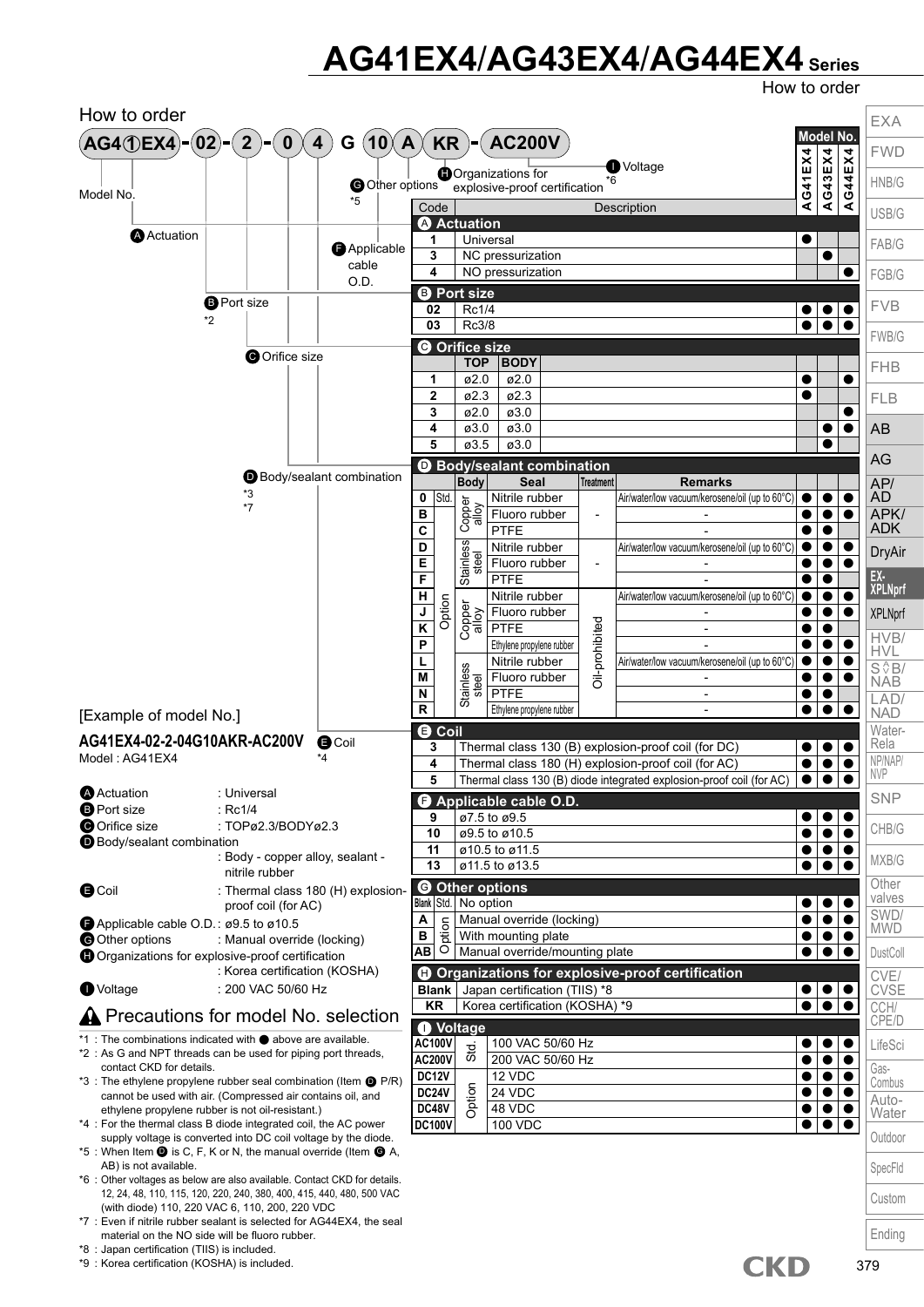### **AG41EX4**/**AG43EX4**/**AG44EX4 Series**

How to order



- \*8 : Japan certification (TIIS) is included.
- \*9 : Korea certification (KOSHA) is included.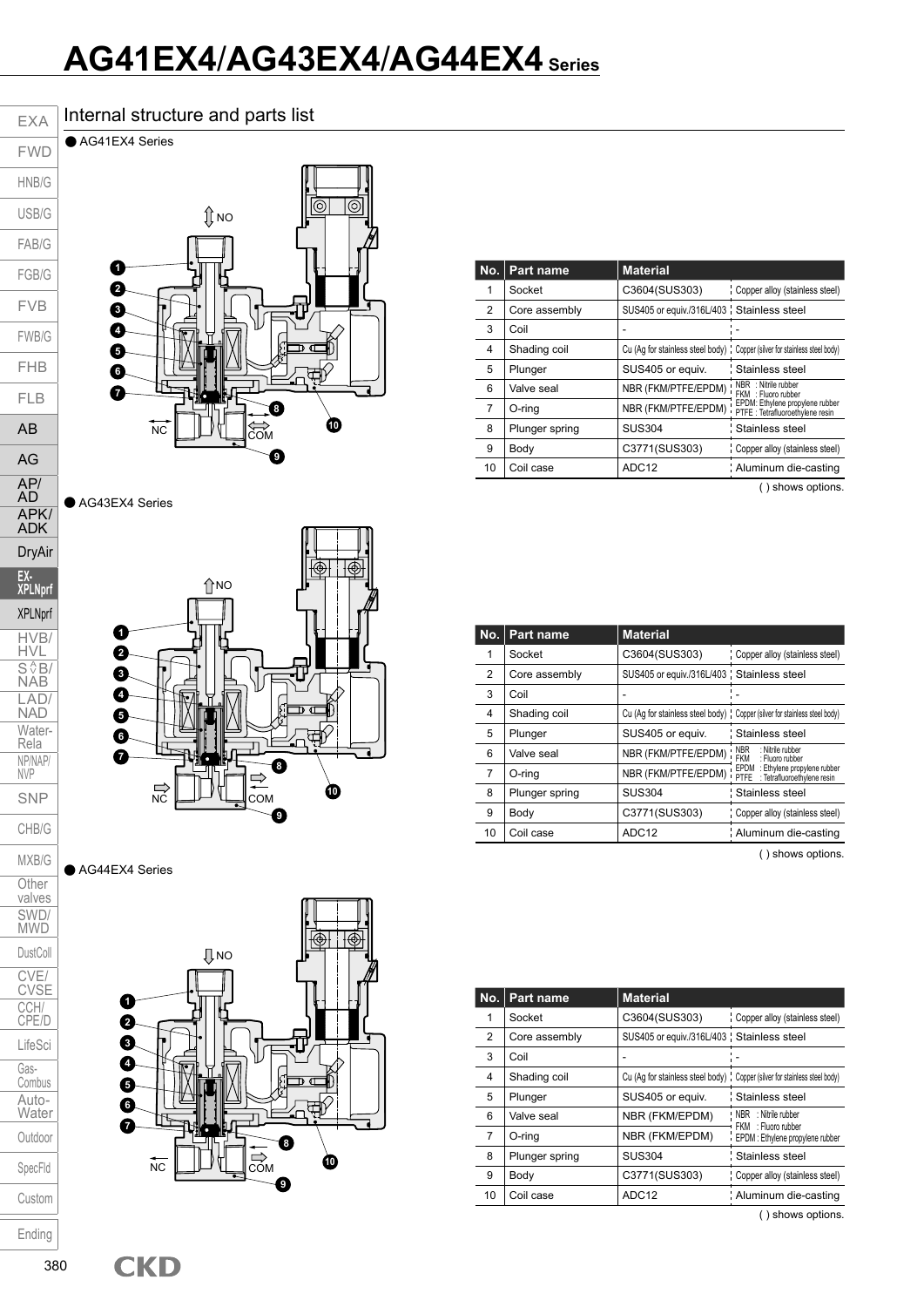### **AG41EX4**/**AG43EX4**/**AG44EX4 Series**

#### Internal structure and parts list

● AG41EX4 Series FWD

EXA

HNB/G USB/G

FAB/G FGB/G FVB

FWB/G FHB

FLB AB

AG AP/ AD APK/ ADK DryAir **EX-XPLNprf** XPLNprf HVB/ HVL  $S \sqrt{\frac{A}{2}}B/$ NAB LAD/ NAD Water-Rela NP/NAP/ NVP SNP CHB/G



● AG43EX4 Series



● AG44EX4 Series



|    | No.   Part name | <b>Material</b>                                                             |                                                                     |
|----|-----------------|-----------------------------------------------------------------------------|---------------------------------------------------------------------|
|    | Socket          | C3604(SUS303)                                                               | Copper alloy (stainless steel)                                      |
| 2  | Core assembly   | SUS405 or equiv./316L/403 ; Stainless steel                                 |                                                                     |
| 3  | Coil            |                                                                             |                                                                     |
| 4  | Shading coil    | Cu (Aq for stainless steel body) ; Copper (silver for stainless steel body) |                                                                     |
| 5  | Plunger         | SUS405 or equiv.                                                            | Stainless steel                                                     |
| 6  | Valve seal      | NBR (FKM/PTFE/EPDM)                                                         | NBR : Nitrile rubber<br>FKM : Fluoro rubber                         |
| 7  | O-ring          | NBR (FKM/PTFE/EPDM)                                                         | EPDM: Ethylene propylene rubber<br>PTFE : Tetrafluoroethylene resin |
| 8  | Plunger spring  | <b>SUS304</b>                                                               | Stainless steel                                                     |
| 9  | Body            | C3771(SUS303)                                                               | Copper alloy (stainless steel)                                      |
| 10 | Coil case       | ADC <sub>12</sub>                                                           | Aluminum die-casting                                                |
|    |                 |                                                                             |                                                                     |

( ) shows options.

| No. | Part name      | <b>Material</b>                                                             |                                                                         |  |  |
|-----|----------------|-----------------------------------------------------------------------------|-------------------------------------------------------------------------|--|--|
| 1   | Socket         | C3604(SUS303)                                                               | Copper alloy (stainless steel)                                          |  |  |
| 2   | Core assembly  | SUS405 or equiv./316L/403 ; Stainless steel                                 |                                                                         |  |  |
| 3   | Coil           |                                                                             |                                                                         |  |  |
| 4   | Shading coil   | Cu (Aq for stainless steel body) ; Copper (silver for stainless steel body) |                                                                         |  |  |
| 5   | Plunger        | SUS405 or equiv.                                                            | Stainless steel                                                         |  |  |
| 6   | Valve seal     | NBR (FKM/PTFE/EPDM) '                                                       | <b>NBR</b><br>: Nitrile rubber<br>FKM<br>: Fluoro rubber                |  |  |
| 7   | O-ring         | NBR (FKM/PTFE/EPDM)                                                         | EPDM<br>: Ethylene propylene rubber<br>PTFE : Tetrafluoroethylene resin |  |  |
| 8   | Plunger spring | <b>SUS304</b>                                                               | Stainless steel                                                         |  |  |
| 9   | Body           | C3771(SUS303)                                                               | Copper alloy (stainless steel)                                          |  |  |
| 10  | Coil case      | ADC <sub>12</sub>                                                           | Aluminum die-casting                                                    |  |  |

( ) shows options.

| No. | Part name      | <b>Material</b>                             |                                                                             |
|-----|----------------|---------------------------------------------|-----------------------------------------------------------------------------|
|     | Socket         | C3604(SUS303)                               | Copper alloy (stainless steel)                                              |
| 2   | Core assembly  | SUS405 or equiv./316L/403 : Stainless steel |                                                                             |
| 3   | Coil           |                                             |                                                                             |
| 4   | Shading coil   |                                             | Cu (Aq for stainless steel body) : Copper (silver for stainless steel body) |
| 5   | Plunger        | SUS405 or equiv.                            | : Stainless steel                                                           |
| 6   | Valve seal     | NBR (FKM/EPDM)                              | NBR : Nitrile rubber<br>FKM: Fluoro rubber                                  |
| 7   | O-ring         | NBR (FKM/EPDM)                              | EPDM : Ethylene propylene rubber                                            |
| 8   | Plunger spring | <b>SUS304</b>                               | Stainless steel                                                             |
| 9   | Body           | C3771(SUS303)                               | Copper alloy (stainless steel)                                              |
| 10  | Coil case      | ADC <sub>12</sub>                           | Aluminum die-casting                                                        |

( ) shows options.

Custom

MXB/G **Other** valves SWD/ MWD DustColl CVE/ CVSE CCH/ CPE/D LifeSci Gas-Combus Auto-**Water** Outdoor SpecFld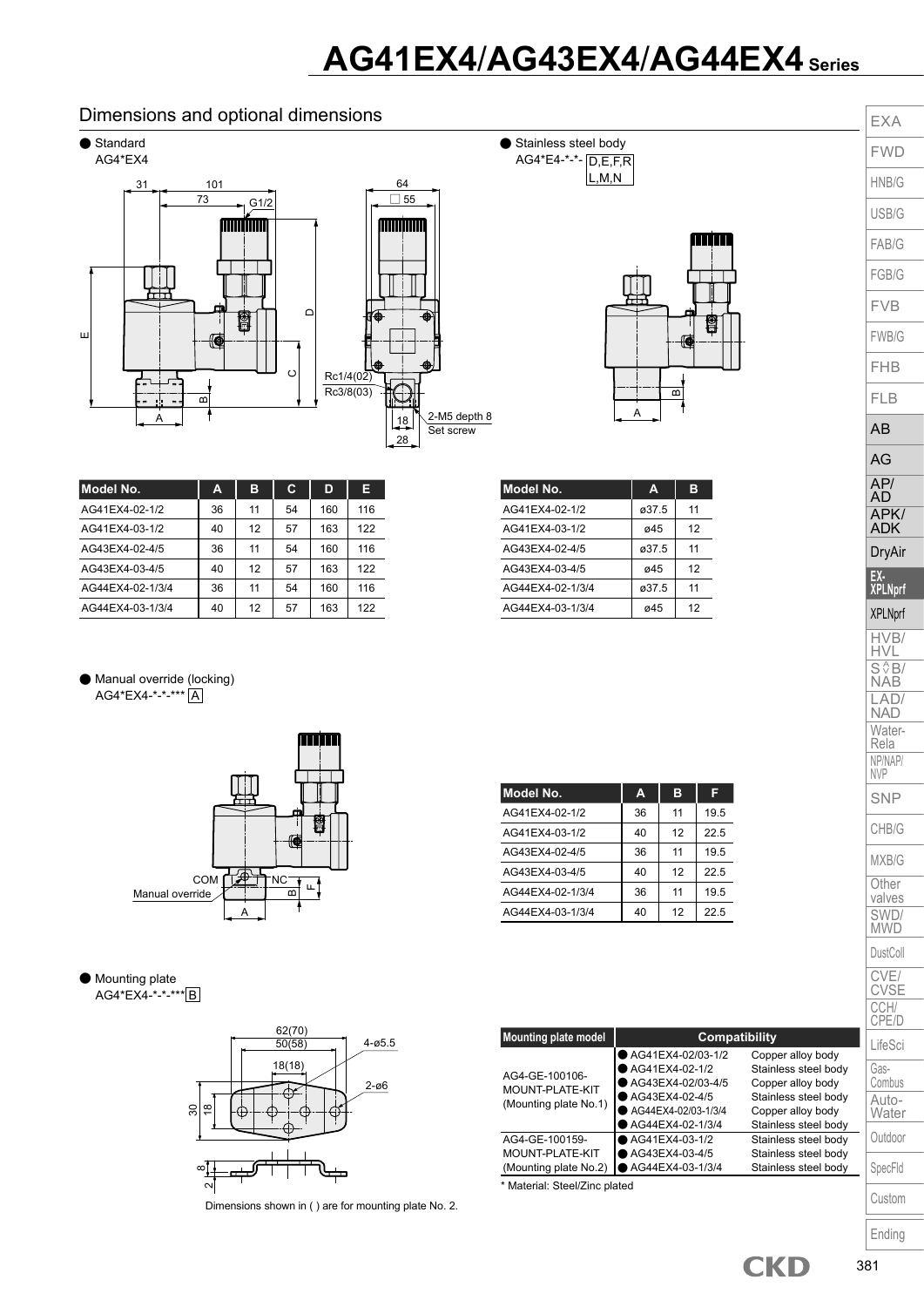## **AG41EX4**/**AG43EX4**/**AG44EX4 Series**

#### Dimensions and optional dimensions



| Model No.        | А  | в  | С  | D   | Е   |
|------------------|----|----|----|-----|-----|
| AG41EX4-02-1/2   | 36 | 11 | 54 | 160 | 116 |
| AG41EX4-03-1/2   | 40 | 12 | 57 | 163 | 122 |
| AG43EX4-02-4/5   | 36 | 11 | 54 | 160 | 116 |
| AG43EX4-03-4/5   | 40 | 12 | 57 | 163 | 122 |
| AG44EX4-02-1/3/4 | 36 | 11 | 54 | 160 | 116 |
| AG44EX4-03-1/3/4 | 40 | 12 | 57 | 163 | 122 |

● Manual override (locking) AG4\*EX4-\*-\*-\*\*\* A



#### ● Mounting plate AG4\*EX4-\*-\*-\*\*\* B



Dimensions shown in ( ) are for mounting plate No. 2.

|       | 11    |
|-------|-------|
| ø45   | 12    |
| ø37.5 | 11    |
| ø45   | 12    |
| ø37.5 | 11    |
| ø45   | 12    |
|       | ø37.5 |

隐

| Model No.        | A  | в  | F    |
|------------------|----|----|------|
| AG41EX4-02-1/2   | 36 | 11 | 19.5 |
| AG41EX4-03-1/2   | 40 | 12 | 22.5 |
| AG43EX4-02-4/5   | 36 | 11 | 19.5 |
| AG43EX4-03-4/5   | 40 | 12 | 22.5 |
| AG44EX4-02-1/3/4 | 36 | 11 | 19.5 |
| AG44EX4-03-1/3/4 | 40 | 12 | 22.5 |

| <b>Mounting plate model</b>                                | <b>Compatibility</b>                                                                                                  |                                                                                                                                     |  |  |  |  |  |  |
|------------------------------------------------------------|-----------------------------------------------------------------------------------------------------------------------|-------------------------------------------------------------------------------------------------------------------------------------|--|--|--|--|--|--|
| AG4-GE-100106-<br>MOUNT-PLATE-KIT<br>(Mounting plate No.1) | AG41EX4-02/03-1/2<br>AG41EX4-02-1/2<br>AG43EX4-02/03-4/5<br>AG43EX4-02-4/5<br>AG44EX4-02/03-1/3/4<br>AG44EX4-02-1/3/4 | Copper alloy body<br>Stainless steel body<br>Copper alloy body<br>Stainless steel body<br>Copper alloy body<br>Stainless steel body |  |  |  |  |  |  |
| AG4-GE-100159-<br>MOUNT-PLATE-KIT<br>(Mounting plate No.2) | AG41EX4-03-1/2<br>AG43EX4-03-4/5<br>AG44EX4-03-1/3/4                                                                  | Stainless steel body<br>Stainless steel body<br>Stainless steel body                                                                |  |  |  |  |  |  |
| * Material: Steel/Zinc plated                              |                                                                                                                       |                                                                                                                                     |  |  |  |  |  |  |

| EXA                                             |
|-------------------------------------------------|
| /D<br>F                                         |
| HNB/G                                           |
| USB/G                                           |
| FAB/G                                           |
| FGB/G                                           |
| /B                                              |
| <b>FWB/G</b>                                    |
| FHB                                             |
| <b>FLB</b>                                      |
| ۹B                                              |
| AG                                              |
| AP/<br>AD                                       |
| A<br>PK<br>ADK                                  |
| DryAir                                          |
| <b>XPLNprf</b>                                  |
| <b>XPLNprf</b>                                  |
| 1VB<br>H٧                                       |
| $\overline{\mathsf{S}^{\,\prime}}$<br>31<br>NAE |
| $\overline{D}$<br>LА<br>NAD                     |
| Water-<br>Rela                                  |
| NP/NAP/<br><b>NVP</b>                           |
| SNP                                             |
| CHB/G                                           |
| MXB/G                                           |
| Other<br>valves                                 |
| SWD/<br><b>MWD</b>                              |
| DustColl                                        |
| CVE/<br>CVSE<br>CCH/                            |
| CPE/D                                           |
| LifeSci                                         |
| Gas-<br>Combus                                  |
| Auto-<br>Water                                  |
| Outdoor                                         |
| SpecFld                                         |
| Custom                                          |
| Ending                                          |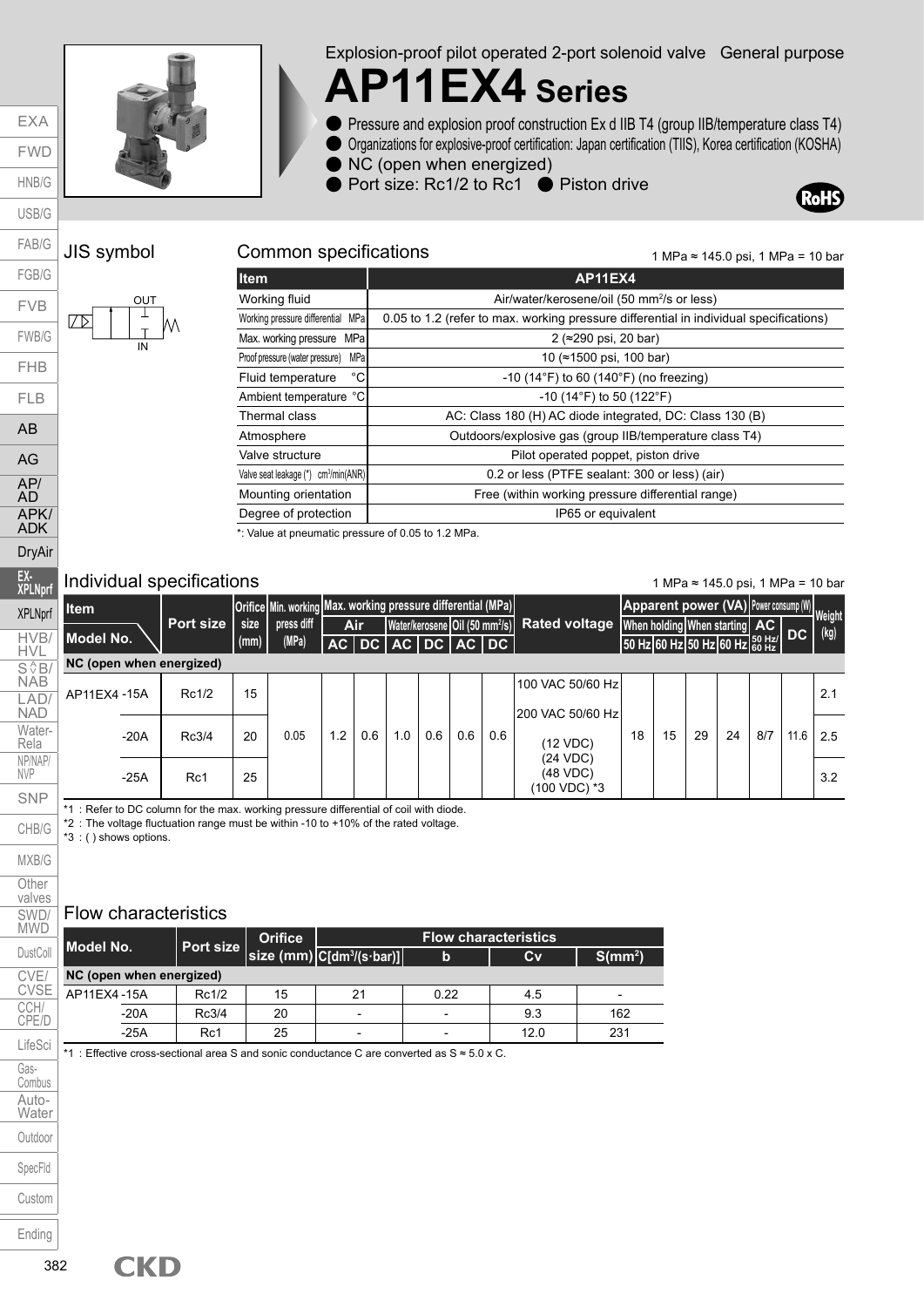

Explosion-proof pilot operated 2-port solenoid valve General purpose

## **AP11EX4 Series**

- Pressure and explosion proof construction Ex d IIB T4 (group IIB/temperature class T4)
- Organizations for explosive-proof certification: Japan certification (TIIS), Korea certification (KOSHA)
- NC (open when energized)
- Port size: Rc1/2 to Rc1 Piston drive



EXA FWD HNB/G



#### JIS symbol Common specifications

1 MPa ≈ 145.0 psi, 1 MPa = 10 bar

| <b>Item</b>                                      | <b>AP11EX4</b>                                                                         |  |  |  |  |  |  |
|--------------------------------------------------|----------------------------------------------------------------------------------------|--|--|--|--|--|--|
| Working fluid                                    | Air/water/kerosene/oil (50 mm <sup>2</sup> /s or less)                                 |  |  |  |  |  |  |
| Working pressure differential MPa                | 0.05 to 1.2 (refer to max. working pressure differential in individual specifications) |  |  |  |  |  |  |
| Max. working pressure<br>MPal                    | 2 (≈290 psi, 20 bar)                                                                   |  |  |  |  |  |  |
| MPa<br>Proof pressure (water pressure)           | 10 (≈1500 psi, 100 bar)                                                                |  |  |  |  |  |  |
| °C<br>Fluid temperature                          | $-10$ (14 $\degree$ F) to 60 (140 $\degree$ F) (no freezing)                           |  |  |  |  |  |  |
| Ambient temperature °C                           | $-10$ (14°F) to 50 (122°F)                                                             |  |  |  |  |  |  |
| Thermal class                                    | AC: Class 180 (H) AC diode integrated, DC: Class 130 (B)                               |  |  |  |  |  |  |
| Atmosphere                                       | Outdoors/explosive gas (group IIB/temperature class T4)                                |  |  |  |  |  |  |
| Valve structure                                  | Pilot operated poppet, piston drive                                                    |  |  |  |  |  |  |
| Valve seat leakage (*) cm <sup>3</sup> /min(ANR) | 0.2 or less (PTFE sealant: 300 or less) (air)                                          |  |  |  |  |  |  |
| Mounting orientation                             | Free (within working pressure differential range)                                      |  |  |  |  |  |  |
| Degree of protection                             | IP65 or equivalent                                                                     |  |  |  |  |  |  |
|                                                  | $\sim$ $\sim$ $\sim$ $\sim$ $\sim$ $\sim$ $\sim$ $\sim$                                |  |  |  |  |  |  |

\*: Value at pneumatic pressure of 0.05 to 1.2 MPa.

#### Individual specifications

1 MPa ≈ 145.0 psi, 1 MPa = 10 bar

| <b>Item</b>              |           |              | Orifice Min. working Max. working pressure differential (MPa) |     |     |                             |     |     |     |                                                                                        |    |    |    |    |     |      | Apparent power (VA) Power consump (W) Weight |
|--------------------------|-----------|--------------|---------------------------------------------------------------|-----|-----|-----------------------------|-----|-----|-----|----------------------------------------------------------------------------------------|----|----|----|----|-----|------|----------------------------------------------|
| Model No.                | Port size | size<br>(mm) | press diff<br>(MPa)                                           |     | Air |                             |     |     |     | Water/kerosene Oil (50 mm <sup>2</sup> /s) Rated voltage When holding When starting AC |    |    |    |    |     |      | 50 Hz 60 Hz 50 Hz 60 Hz 60 Hz DC (kg)        |
| NC (open when energized) |           |              |                                                               |     |     | AC   DC   AC   DC   AC   DC |     |     |     |                                                                                        |    |    |    |    |     |      |                                              |
| AP11EX4-15A              | Rc1/2     | 15           |                                                               |     |     |                             |     |     |     | 100 VAC 50/60 Hz<br>200 VAC 50/60 Hz                                                   |    |    |    |    |     |      | 2.1                                          |
| $-20A$                   | Rc3/4     | 20           | 0.05                                                          | 1.2 | 0.6 | 1.0                         | 0.6 | 0.6 | 0.6 | (12 VDC)                                                                               | 18 | 15 | 29 | 24 | 8/7 | 11.6 | 2.5                                          |
| $-25A$                   | Rc1       | 25           |                                                               |     |     |                             |     |     |     | (24 VDC)<br>(48 VDC)<br>100 VDC) *3                                                    |    |    |    |    |     |      | 3.2                                          |

\*1 : Refer to DC column for the max. working pressure differential of coil with diode.

\*2 : The voltage fluctuation range must be within -10 to +10% of the rated voltage.

\*3 : ( ) shows options.

#### Flow characteristics

| Model No.                |       | <b>Orifice</b> |                                                 |             | <b>Flow characteristics</b> |                          |
|--------------------------|-------|----------------|-------------------------------------------------|-------------|-----------------------------|--------------------------|
|                          |       |                | Port size size (mm) C[dm <sup>3</sup> /(s·bar)] | $\mathbf b$ | Cv                          | $S/mm^2$                 |
| NC (open when energized) |       |                |                                                 |             |                             |                          |
| AP11EX4-15A              | Rc1/2 | 15             | 21                                              | 0.22        | 4.5                         | $\overline{\phantom{0}}$ |
| $-20A$                   | Rc3/4 | 20             | $\overline{\phantom{0}}$                        |             | 9.3                         | 162                      |
| $-25A$                   | Rc1   | 25             |                                                 |             | 12.0                        | 231                      |

\*1 : Effective cross-sectional area S and sonic conductance C are converted as S ≈ 5.0 x C.

**CKD**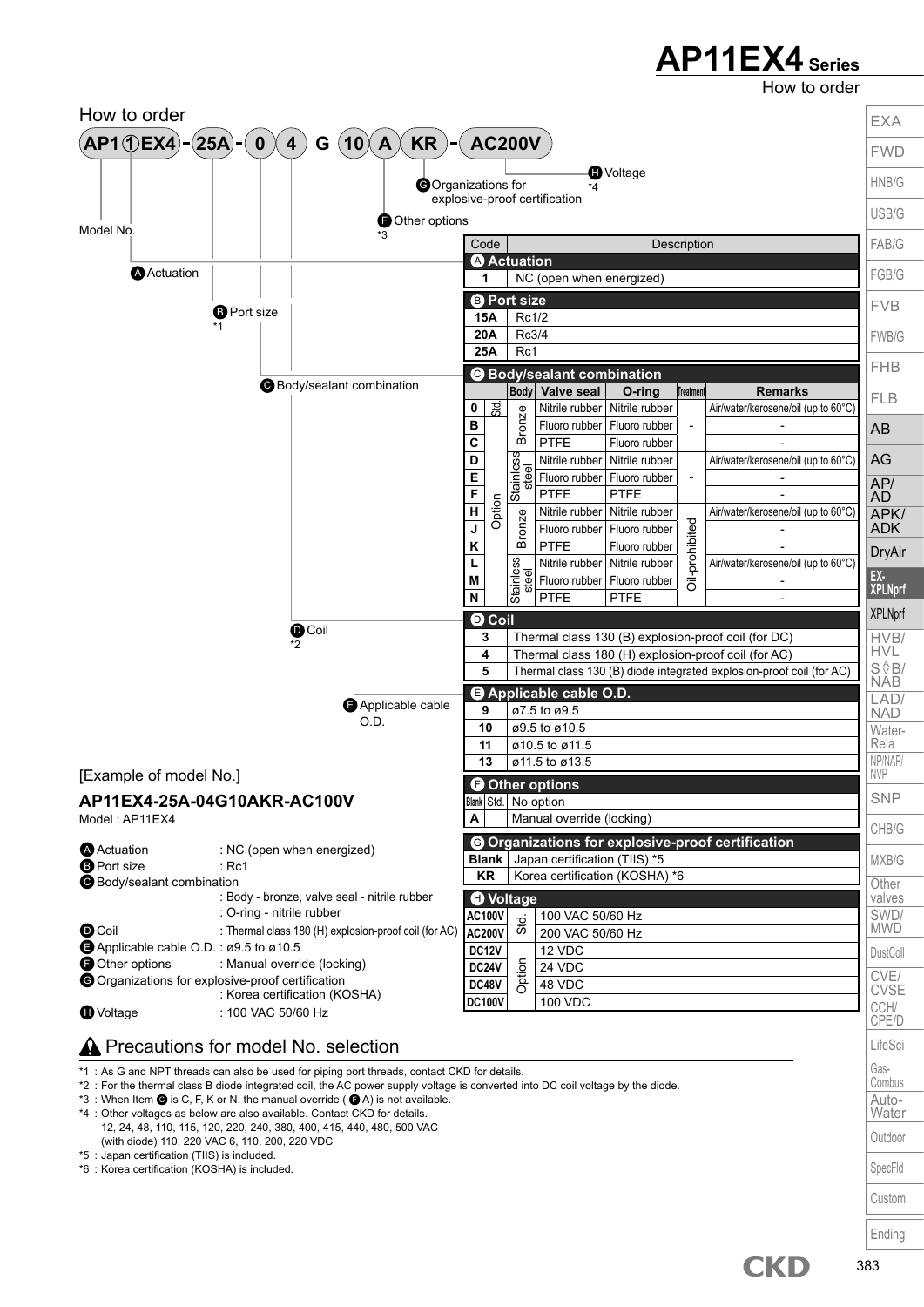How to order



\*1 : As G and NPT threads can also be used for piping port threads, contact CKD for details.

\*2 : For the thermal class B diode integrated coil, the AC power supply voltage is converted into DC coil voltage by the diode.

\*3 : When Item  $\bigcirc$  is C, F, K or N, the manual override ( $\bigcirc$  A) is not available.

- \*4 : Other voltages as below are also available. Contact CKD for details. 12, 24, 48, 110, 115, 120, 220, 240, 380, 400, 415, 440, 480, 500 VAC (with diode) 110, 220 VAC 6, 110, 200, 220 VDC
- \*5 : Japan certification (TIIS) is included.

\*6 : Korea certification (KOSHA) is included.

Combus Auto-Water **Outdoor** SpecFld Custom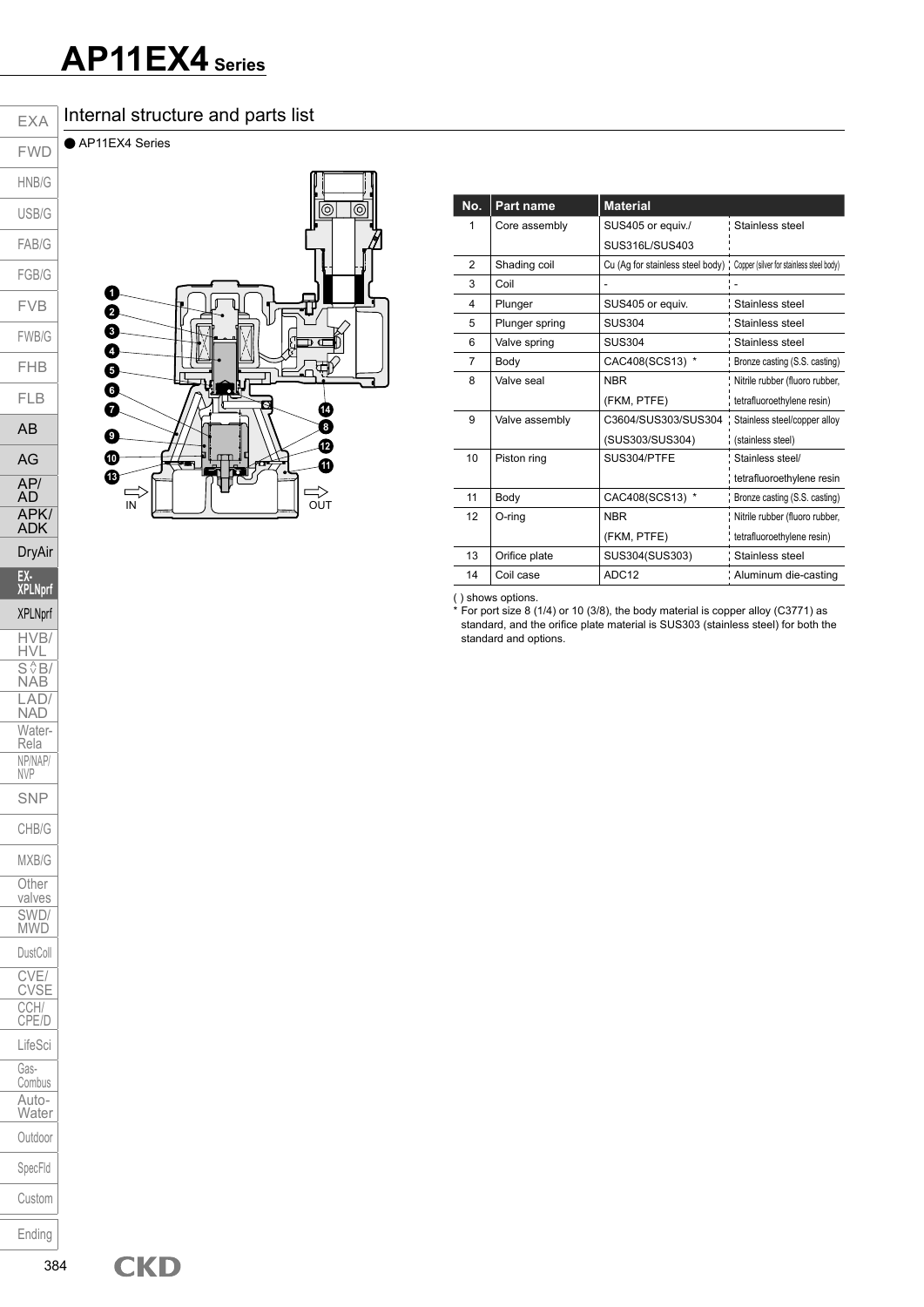#### Internal structure and parts list

● AP11EX4 Series



| No. | Part name      | <b>Material</b>                                                             |                                |
|-----|----------------|-----------------------------------------------------------------------------|--------------------------------|
| 1   | Core assembly  | SUS405 or equiv./                                                           | Stainless steel                |
|     |                | SUS316L/SUS403                                                              |                                |
| 2   | Shading coil   | Cu (Ag for stainless steel body) : Copper (silver for stainless steel body) |                                |
| 3   | Coil           |                                                                             |                                |
| 4   | Plunger        | SUS405 or equiv.                                                            | Stainless steel                |
| 5   | Plunger spring | <b>SUS304</b>                                                               | Stainless steel                |
| 6   | Valve spring   | <b>SUS304</b>                                                               | Stainless steel                |
| 7   | Body           | CAC408(SCS13) *                                                             | Bronze casting (S.S. casting)  |
| 8   | Valve seal     | <b>NBR</b>                                                                  | Nitrile rubber (fluoro rubber, |
|     |                | (FKM, PTFE)                                                                 | tetrafluoroethylene resin)     |
| 9   | Valve assembly | C3604/SUS303/SUS304                                                         | Stainless steel/copper alloy   |
|     |                | (SUS303/SUS304)                                                             | (stainless steel)              |
| 10  | Piston ring    | SUS304/PTFE                                                                 | Stainless steel/               |
|     |                |                                                                             | tetrafluoroethylene resin      |
| 11  | Body           | CAC408(SCS13) *                                                             | Bronze casting (S.S. casting)  |
| 12  | O-ring         | <b>NBR</b>                                                                  | Nitrile rubber (fluoro rubber, |
|     |                | (FKM, PTFE)                                                                 | tetrafluoroethylene resin)     |
| 13  | Orifice plate  | SUS304(SUS303)                                                              | Stainless steel                |
| 14  | Coil case      | ADC <sub>12</sub>                                                           | Aluminum die-casting           |

( ) shows options.

For port size 8 (1/4) or 10 (3/8), the body material is copper alloy (C3771) as standard, and the orifice plate material is SUS303 (stainless steel) for both the standard and options.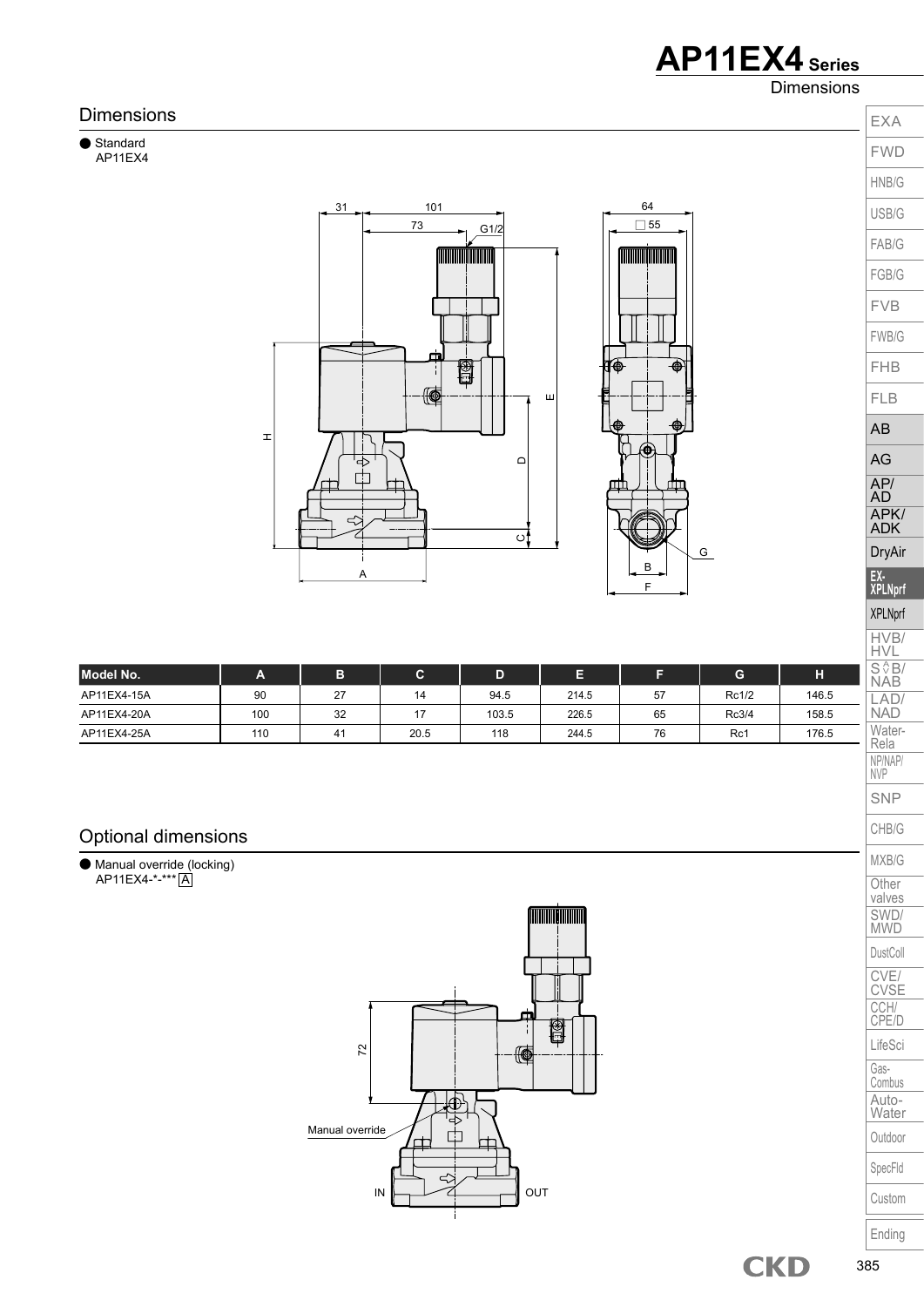Dimensions





Custom

Ending

valves SWD/ MWD DustColl CVE/ CVSE CCH/ CPE/D LifeSci Gas-Combus Auto-**Water** Outdoor SpecFld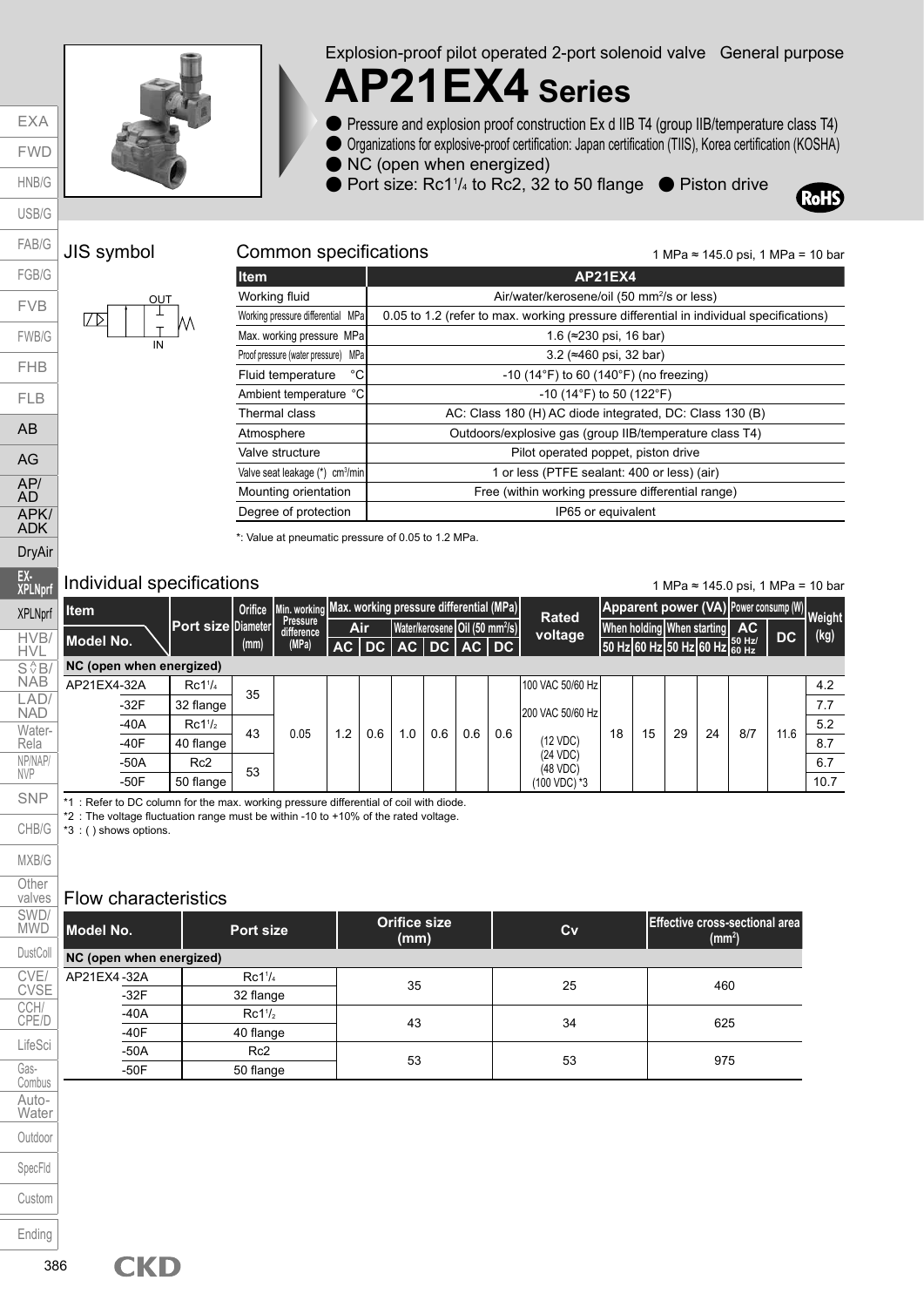

Explosion-proof pilot operated 2-port solenoid valve General purpose

## **AP21EX4 Series**

- Pressure and explosion proof construction Ex d IIB T4 (group IIB/temperature class T4)
- Organizations for explosive-proof certification: Japan certification (TIIS), Korea certification (KOSHA)
- NC (open when energized)
- Port size: Rc1<sup>1</sup>/<sub>4</sub> to Rc2, 32 to 50 flange Piston drive



#### JIS symbol Common specifications

EXA FWD HNB/G USB/G

FAB/G FGB/G FVB

FWB/G FHB

FLB AB



| ltem.                                       | AP21EX4                                                                                |
|---------------------------------------------|----------------------------------------------------------------------------------------|
| Working fluid                               | Air/water/kerosene/oil (50 mm <sup>2</sup> /s or less)                                 |
| Working pressure differential MPa           | 0.05 to 1.2 (refer to max. working pressure differential in individual specifications) |
| Max. working pressure MPa                   | 1.6 ( $\approx$ 230 psi, 16 bar)                                                       |
| MPal<br>Proof pressure (water pressure)     | 3.2 ( $\approx$ 460 psi, 32 bar)                                                       |
| °C<br>Fluid temperature                     | $-10$ (14 $\degree$ F) to 60 (140 $\degree$ F) (no freezing)                           |
| Ambient temperature °C                      | $-10$ (14°F) to 50 (122°F)                                                             |
| Thermal class                               | AC: Class 180 (H) AC diode integrated, DC: Class 130 (B)                               |
| Atmosphere                                  | Outdoors/explosive gas (group IIB/temperature class T4)                                |
| Valve structure                             | Pilot operated poppet, piston drive                                                    |
| Valve seat leakage (*) cm <sup>3</sup> /min | 1 or less (PTFE sealant: 400 or less) (air)                                            |
| Mounting orientation                        | Free (within working pressure differential range)                                      |
| Degree of protection                        | IP65 or equivalent                                                                     |

\*: Value at pneumatic pressure of 0.05 to 1.2 MPa.

#### Individual specifications

1 MPa ≈ 145.0 psi, 1 MPa = 10 bar

1 MPa ≈ 145.0 psi, 1 MPa = 10 bar

| <b>I</b> tem             |                     | <b>Orifice</b> | Min. working Max. working pressure differential (MPa) |     |            |     |                                            |     |     | <b>Rated</b>         |    |    |    |                               | Apparent power (VA) Power consump (W) Weight |      |      |
|--------------------------|---------------------|----------------|-------------------------------------------------------|-----|------------|-----|--------------------------------------------|-----|-----|----------------------|----|----|----|-------------------------------|----------------------------------------------|------|------|
| Model No.                | Port size Diameter  |                | Pressure<br>difference                                |     | <b>Air</b> |     | Water/kerosene Oil (50 mm <sup>2</sup> /s) |     |     | voltage              |    |    |    | When holding When starting    | AC                                           | DC   | (kg) |
| NC (open when energized) |                     | (mm)           | (MPa)                                                 |     |            |     | AC DC AC DC AC DC                          |     |     |                      |    |    |    | 50 Hz 60 Hz 50 Hz 60 Hz 60 Hz |                                              |      |      |
| AP21EX4-32A              | Rc1 <sup>1</sup> /4 |                |                                                       |     |            |     |                                            |     |     | 100 VAC 50/60 Hz     |    |    |    |                               |                                              |      | 4.2  |
| $-32F$                   | 32 flange           | 35             |                                                       |     |            |     |                                            |     |     |                      |    |    |    |                               |                                              |      | 7.7  |
| $-40A$                   | Rc1 <sup>1</sup> /2 |                |                                                       |     |            |     |                                            |     |     | 1200 VAC 50/60 Hz    |    |    |    |                               |                                              |      | 5.2  |
| $-40F$                   | 40 flange           | 43             | 0.05                                                  | 1.2 | 0.6        | 1.0 | 0.6                                        | 0.6 | 0.6 | (12 VDC)             | 18 | 15 | 29 | 24                            | 8/7                                          | 11.6 | 8.7  |
| $-50A$                   | Rc <sub>2</sub>     | 53             |                                                       |     |            |     |                                            |     |     | (24 VDC)<br>(48 VDC) |    |    |    |                               |                                              |      | 6.7  |
| $-50F$                   | 50 flange           |                |                                                       |     |            |     |                                            |     |     | (100 VDC) *3         |    |    |    |                               |                                              |      | 10.7 |

\*1 : Refer to DC column for the max. working pressure differential of coil with diode.

\*2 : The voltage fluctuation range must be within -10 to +10% of the rated voltage.

\*3 : ( ) shows options.

#### Flow characteristics

| Model No.                | Port size                       | <b>Orifice size</b><br>(mm) | Cv | <b>Effective cross-sectional area</b><br>(mm <sup>2</sup> ) |  |  |
|--------------------------|---------------------------------|-----------------------------|----|-------------------------------------------------------------|--|--|
| NC (open when energized) |                                 |                             |    |                                                             |  |  |
| AP21EX4-32A              | Rc1 <sup>1</sup> / <sub>4</sub> | 35                          | 25 | 460                                                         |  |  |
| $-32F$                   | 32 flange                       |                             |    |                                                             |  |  |
| $-40A$                   | $Rc1\frac{1}{2}$                |                             |    |                                                             |  |  |
| $-40F$                   | 40 flange                       | 43                          | 34 | 625                                                         |  |  |
| $-50A$                   | Rc2                             |                             |    |                                                             |  |  |
| $-50F$                   | 50 flange                       | 53                          | 53 | 975                                                         |  |  |

AG AP/ AD APK/ ADK DryAir **EX-XPLNprf XPLNprf** HVB/ HVL  $S \sqrt{\frac{A}{2}}B/$ NAB LAD/ NAD Water-Rela NP/NAP/ NVP SNP CHB/G MXB/G **Other** valves SWD/ **MWD** DustColl CVE/ CVSE CCH/ CPE/D LifeSci Gas-Combus Auto-**Water** Outdoor SpecFld Custom Ending

**CKD**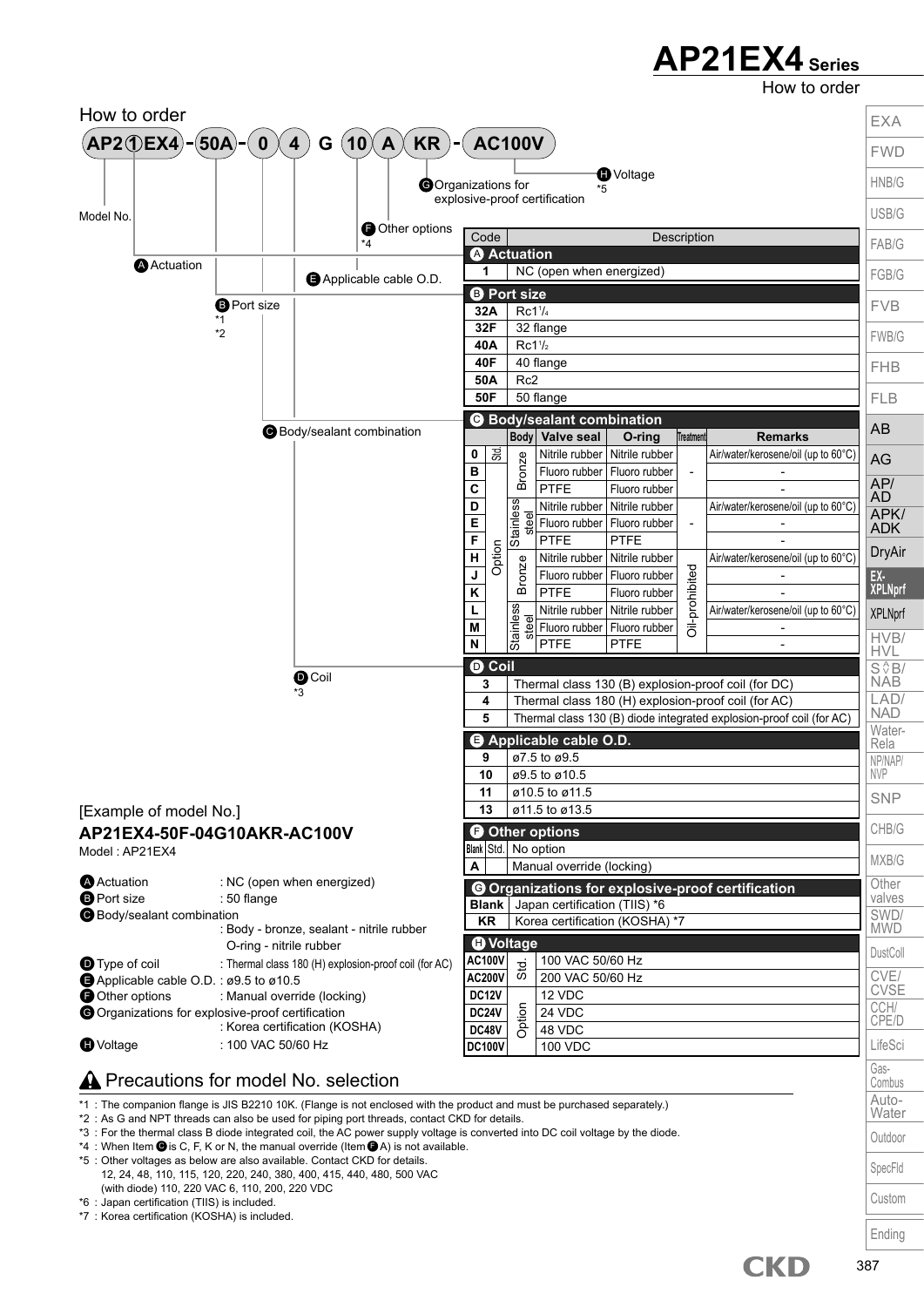How to order



\*3 : For the thermal class B diode integrated coil, the AC power supply voltage is converted into DC coil voltage by the diode.

\*4 : When Item  $\bigcirc$  is C, F, K or N, the manual override (Item  $\bigcirc$  A) is not available. \*5 : Other voltages as below are also available. Contact CKD for details. 12, 24, 48, 110, 115, 120, 220, 240, 380, 400, 415, 440, 480, 500 VAC (with diode) 110, 220 VAC 6, 110, 200, 220 VDC

\*6 : Japan certification (TIIS) is included.

\*7 : Korea certification (KOSHA) is included.

SpecFld Custom

**CKD**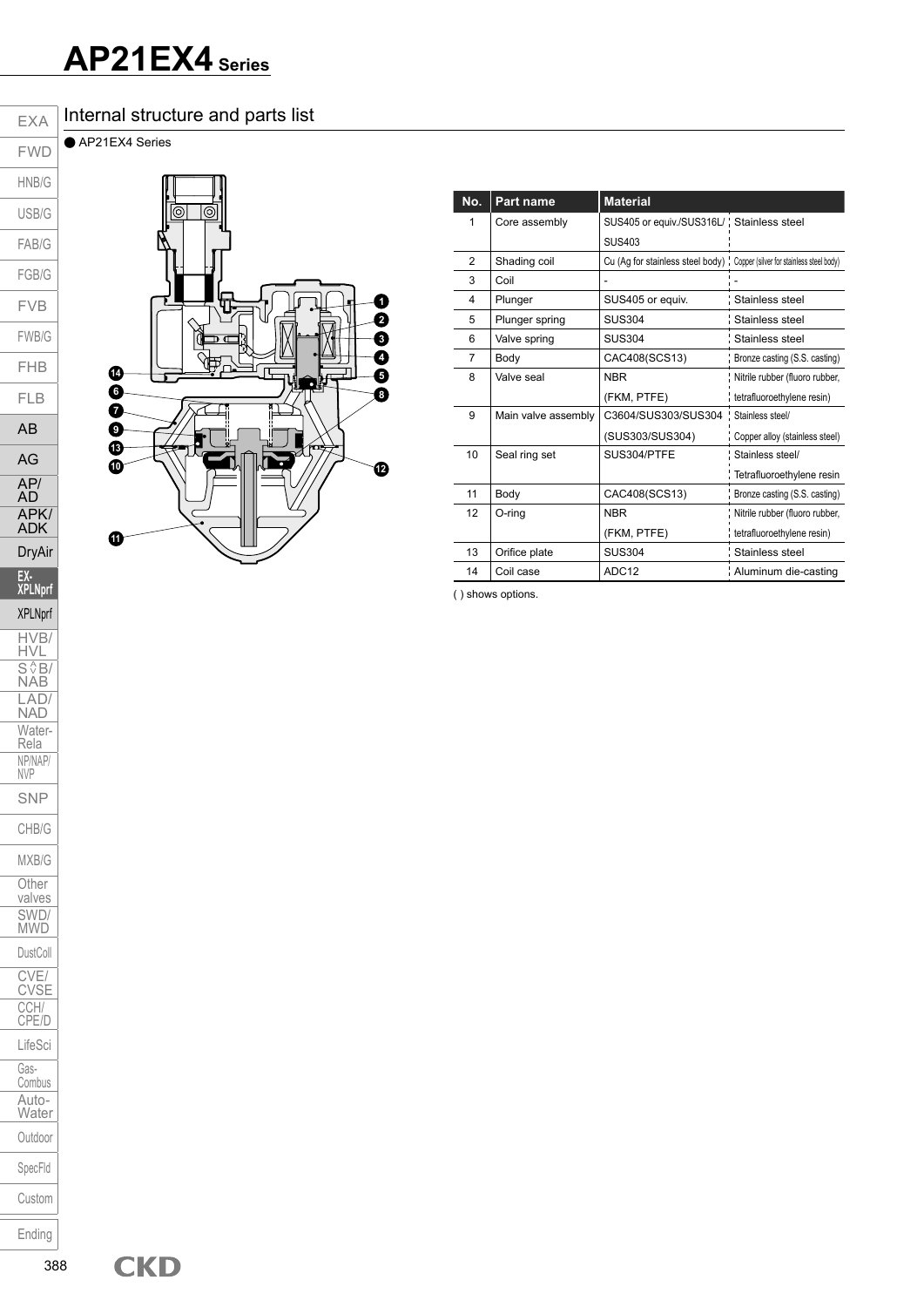#### Internal structure and parts list

● AP21EX4 Series



| No. | Part name           | <b>Material</b>                                                             |                                |
|-----|---------------------|-----------------------------------------------------------------------------|--------------------------------|
|     | Core assembly       | SUS405 or equiv./SUS316L/ ' Stainless steel                                 |                                |
|     |                     | <b>SUS403</b>                                                               |                                |
| 2   | Shading coil        | Cu (Ag for stainless steel body) : Copper (silver for stainless steel body) |                                |
| 3   | Coil                |                                                                             |                                |
| 4   | Plunger             | SUS405 or equiv.                                                            | : Stainless steel              |
| 5   | Plunger spring      | <b>SUS304</b>                                                               | Stainless steel                |
| 6   | Valve spring        | <b>SUS304</b>                                                               | : Stainless steel              |
| 7   | Body                | CAC408(SCS13)                                                               | Bronze casting (S.S. casting)  |
| 8   | Valve seal          | <b>NBR</b>                                                                  | Nitrile rubber (fluoro rubber, |
|     |                     | (FKM, PTFE)                                                                 | tetrafluoroethylene resin)     |
| 9   | Main valve assembly | C3604/SUS303/SUS304                                                         | Stainless steel/               |
|     |                     | (SUS303/SUS304)                                                             | Copper alloy (stainless steel) |
| 10  | Seal ring set       | SUS304/PTFE                                                                 | Stainless steel/               |
|     |                     |                                                                             | Tetrafluoroethylene resin      |
| 11  | Body                | CAC408(SCS13)                                                               | Bronze casting (S.S. casting)  |
| 12  | O-ring              | <b>NBR</b>                                                                  | Nitrile rubber (fluoro rubber, |
|     |                     | (FKM, PTFE)                                                                 | tetrafluoroethylene resin)     |
| 13  | Orifice plate       | <b>SUS304</b>                                                               | Stainless steel                |
| 14  | Coil case           | ADC <sub>12</sub>                                                           | Aluminum die-casting           |

( ) shows options.

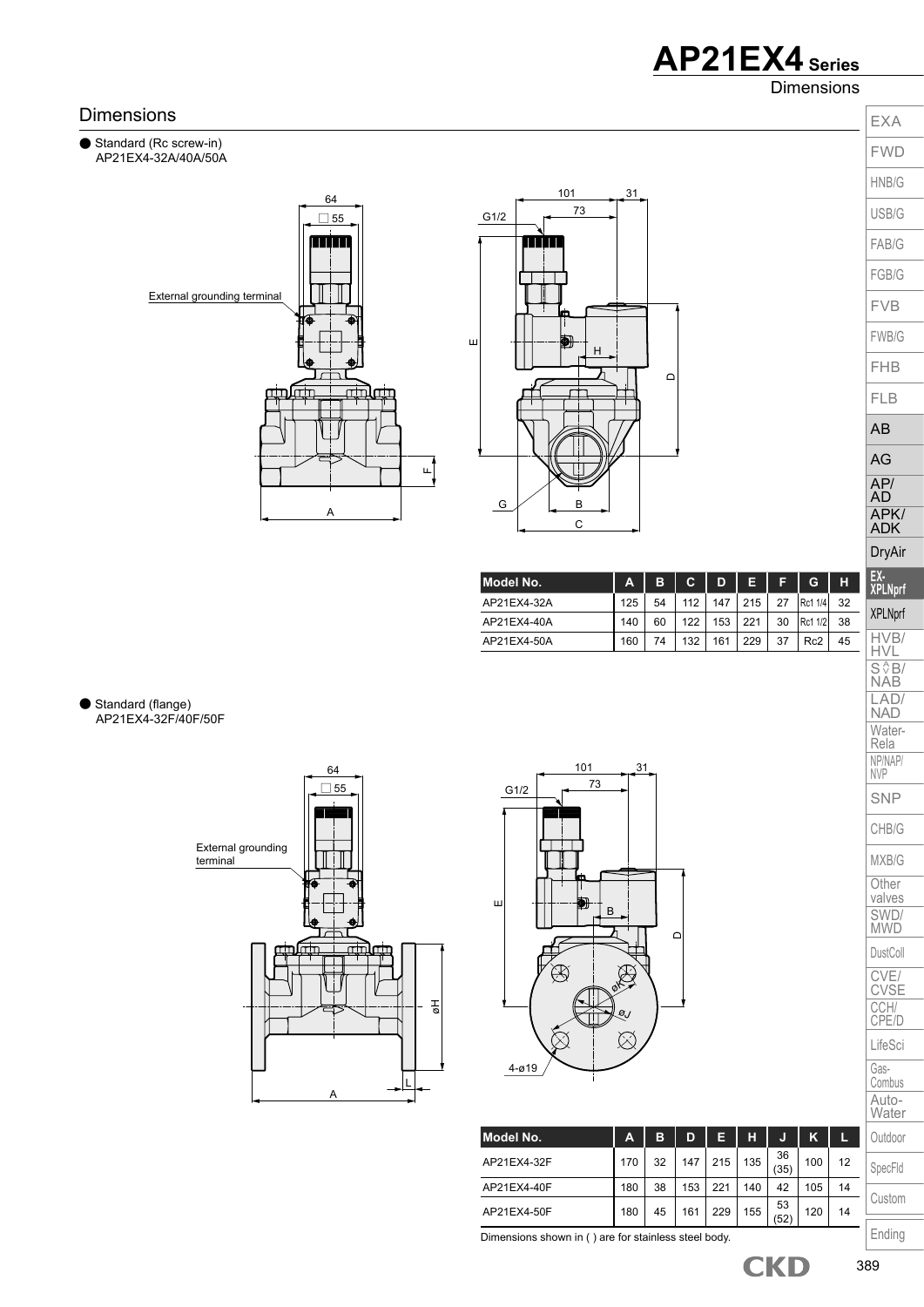**Dimensions** 

#### Dimensions







| Model No.   | A   | в  | С   | D   | Е   |    | G               | н  |
|-------------|-----|----|-----|-----|-----|----|-----------------|----|
| AP21EX4-32A | 125 | 54 | 112 | 147 | 215 | 27 | Rc1 1/4         | 32 |
| AP21EX4-40A | 140 | 60 | 122 | 153 | 221 | 30 | Rc1 1/2         | 38 |
| AP21EX4-50A | 160 | 74 | 132 | 161 | 229 | 37 | Rc <sub>2</sub> | 45 |

Standard (flange) AP21EX4-32F/40F/50F





| Model No.   | A   | в  | D   | Е   | н   |            | ĸ   |    | Outdoor |
|-------------|-----|----|-----|-----|-----|------------|-----|----|---------|
| AP21EX4-32F | 170 | 32 | 147 | 215 | 135 | 36<br>(35) | 100 | 12 | SpecFld |
| AP21EX4-40F | 180 | 38 | 153 | 221 | 140 | 42         | 105 | 14 |         |
| AP21EX4-50F | 180 | 45 | 161 | 229 | 155 | 53<br>(52) | 120 | 14 | Custom  |
|             |     |    |     |     |     |            |     |    |         |

Dimensions shown in ( ) are for stainless steel body.

EXA FWD HNB/G USB/G FAB/G FGB/G FVB FWB/G FHB FLB AB AG AP/ AD APK/ ADK DryAir **EX-XPLNprf** XPLNprf HVB/ HVL  $S \sqrt{\frac{A}{B}}$ NAB LAD/ NAD Water-Rela NP/NAP/ NVP SNP CHB/G MXB/G **Other** valves SWD/ MWD DustColl CVE/ CVSE CCH/ CPE/D LifeSci Gas-Combus Auto-**Water** Outdoor

Ending

389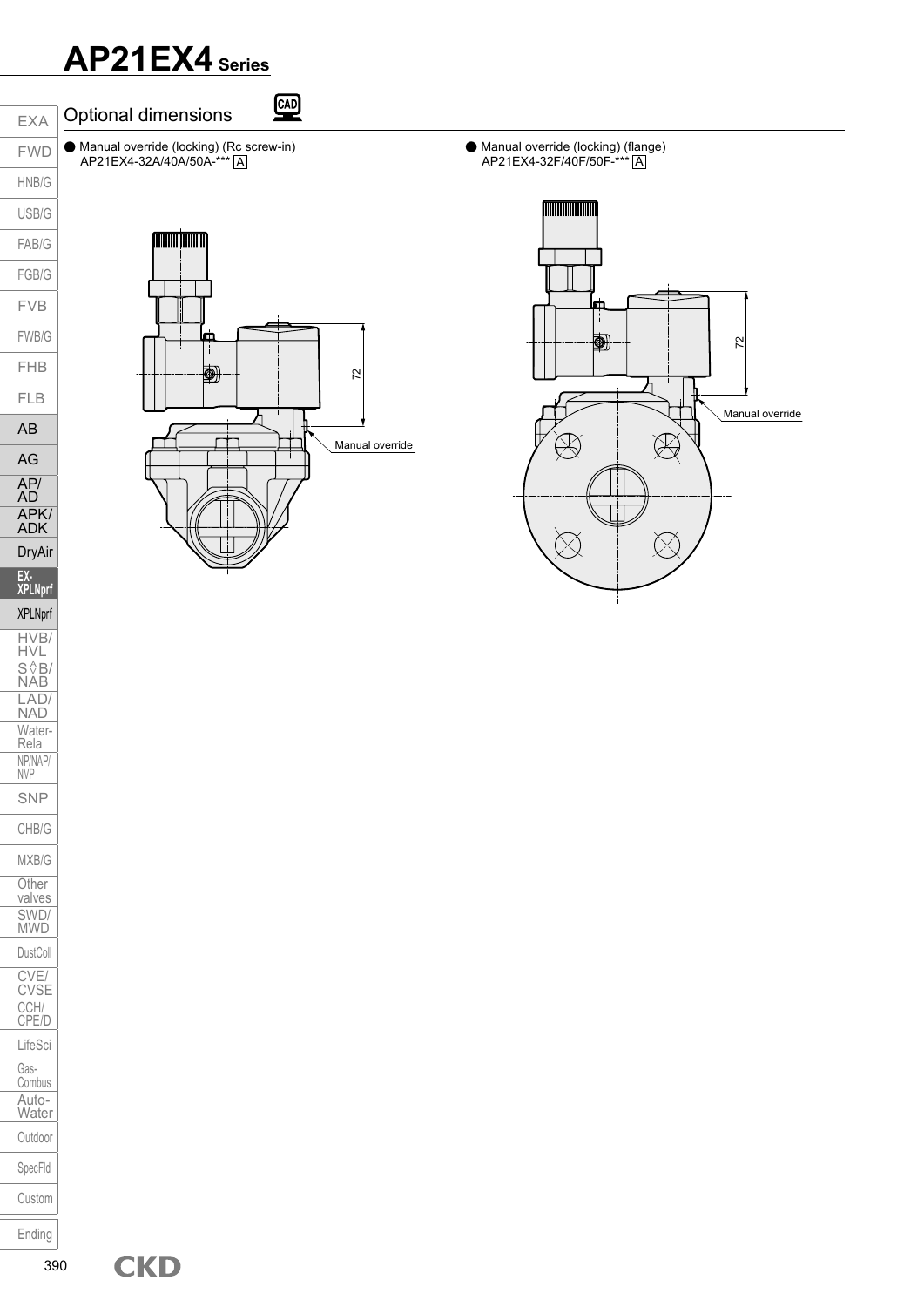AP21EX4-32A/40A/50A-\*\*\* A



Optional dimensions ● Manual override (locking) (Rc screw-in)



**CAD** 

● Manual override (locking) (flange) AP21EX4-32F/40F/50F-\*\*\* <u>|A</u>

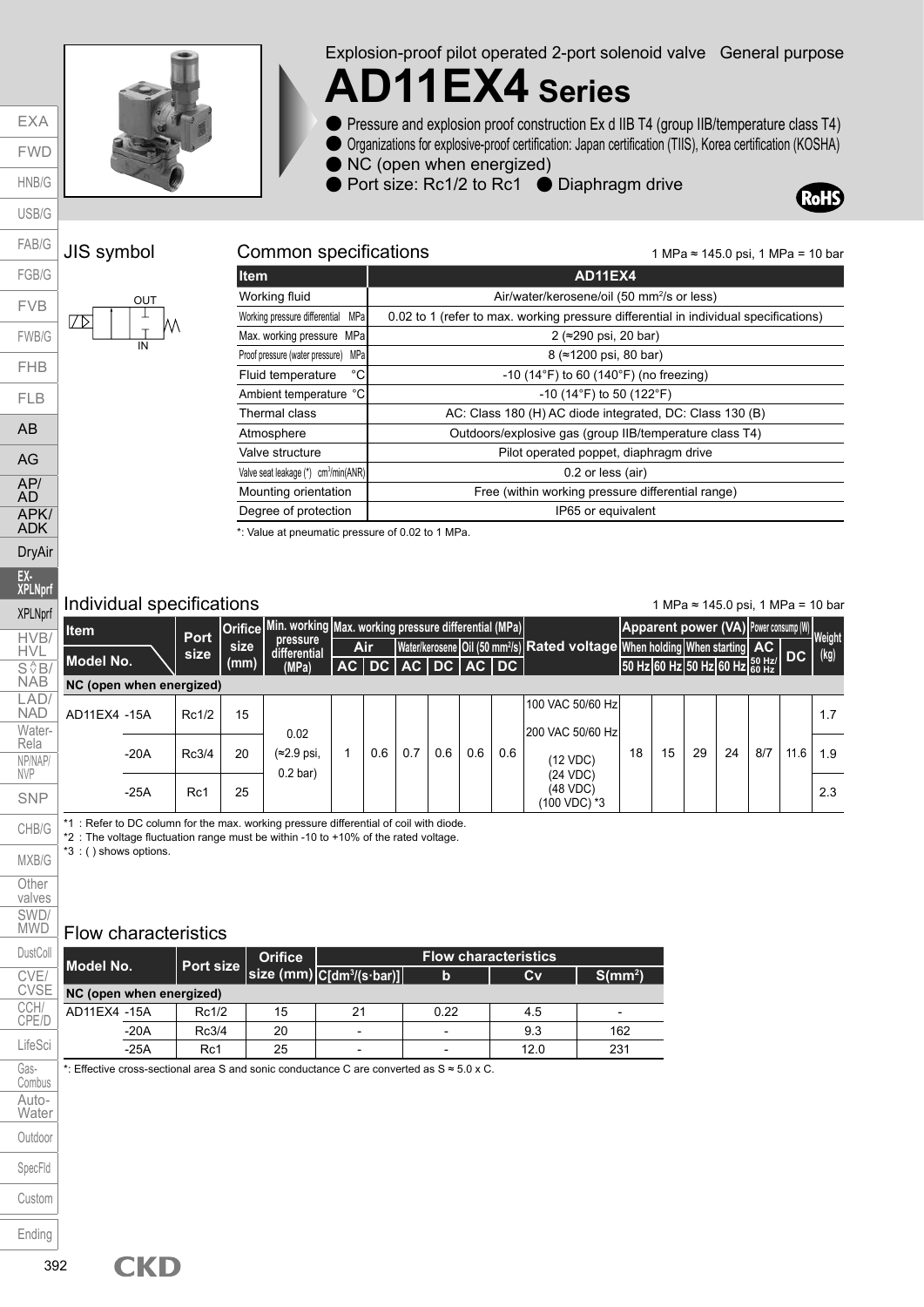

Explosion-proof pilot operated 2-port solenoid valve General purpose

## **AD11EX4 Series**

- Pressure and explosion proof construction Ex d IIB T4 (group IIB/temperature class T4)
- Organizations for explosive-proof certification: Japan certification (TIIS), Korea certification (KOSHA)
- NC (open when energized)
- Port size: Rc1/2 to Rc1 Diaphragm drive



#### JIS symbol C

EXA FWD HNB/G USB/G

FAB/G



| ommon specifications |  |
|----------------------|--|
|                      |  |

1 MPa ≈ 145.0 psi, 1 MPa = 10 bar

| <b>Item</b>                                      | <b>AD11EX4</b>                                                                       |  |  |  |  |  |  |
|--------------------------------------------------|--------------------------------------------------------------------------------------|--|--|--|--|--|--|
| Working fluid                                    | Air/water/kerosene/oil (50 mm <sup>2</sup> /s or less)                               |  |  |  |  |  |  |
| Working pressure differential<br>MPa             | 0.02 to 1 (refer to max. working pressure differential in individual specifications) |  |  |  |  |  |  |
| Max. working pressure MPa                        | 2 (≈290 psi, 20 bar)                                                                 |  |  |  |  |  |  |
| MPa<br>Proof pressure (water pressure)           | 8 (≈1200 psi, 80 bar)                                                                |  |  |  |  |  |  |
| $^{\circ}$ C<br>Fluid temperature                | $-10$ (14 $\degree$ F) to 60 (140 $\degree$ F) (no freezing)                         |  |  |  |  |  |  |
| Ambient temperature °C                           | $-10$ (14°F) to 50 (122°F)                                                           |  |  |  |  |  |  |
| Thermal class                                    | AC: Class 180 (H) AC diode integrated, DC: Class 130 (B)                             |  |  |  |  |  |  |
| Atmosphere                                       | Outdoors/explosive gas (group IIB/temperature class T4)                              |  |  |  |  |  |  |
| Valve structure                                  | Pilot operated poppet, diaphragm drive                                               |  |  |  |  |  |  |
| Valve seat leakage (*) cm <sup>3</sup> /min(ANR) | 0.2 or less (air)                                                                    |  |  |  |  |  |  |
| Mounting orientation                             | Free (within working pressure differential range)                                    |  |  |  |  |  |  |
| Degree of protection                             | IP65 or equivalent                                                                   |  |  |  |  |  |  |
|                                                  |                                                                                      |  |  |  |  |  |  |

\*: Value at pneumatic pressure of 0.02 to 1 MPa.

#### Individual specifications

1 MPa ≈ 145.0 psi, 1 MPa = 10 bar

| <b>Item</b>              |        | <b>Port</b> | <b>Orifice</b> | Min. working Max. working pressure differential (MPa) |                     |             |     |     |     |                                                                                                  |    | Apparent power (VA) Power consump (W) Weight |    |    |     |      |      |
|--------------------------|--------|-------------|----------------|-------------------------------------------------------|---------------------|-------------|-----|-----|-----|--------------------------------------------------------------------------------------------------|----|----------------------------------------------|----|----|-----|------|------|
|                          |        | size        | size           | pressure<br>differential                              | <b>Air</b>          |             |     |     |     | Water/kerosene   Oil (50 mm <sup>2</sup> /s)   Rated voltage   When holding   When starting   AC |    |                                              |    |    |     |      | (kg) |
| Model No.                |        |             | (mm)           | (MPa)                                                 | $AC$ DC $\parallel$ | AC DC AC DC |     |     |     |                                                                                                  |    | 50 Hz 60 Hz 50 Hz 60 Hz 60 Hz DC             |    |    |     |      |      |
| NC (open when energized) |        |             |                |                                                       |                     |             |     |     |     |                                                                                                  |    |                                              |    |    |     |      |      |
| AD11EX4 -15A             |        | Rc1/2       | 15             |                                                       |                     |             |     |     |     | 100 VAC 50/60 Hz                                                                                 |    |                                              |    |    |     |      | 1.7  |
|                          |        |             |                | 0.02                                                  |                     |             |     |     |     | 200 VAC 50/60 Hz                                                                                 |    |                                              |    |    |     |      |      |
|                          | $-20A$ | Rc3/4       | 20             | $(\approx 2.9 \text{ psi.})$<br>$0.2$ bar)            | 0.6                 | 0.7         | 0.6 | 0.6 | 0.6 | (12 VDC)                                                                                         | 18 | 15                                           | 29 | 24 | 8/7 | 11.6 | 1.9  |
|                          | $-25A$ | Rc1         | 25             |                                                       |                     |             |     |     |     | (24 VDC)<br>(48 VDC)<br>(100 VDC) *3                                                             |    |                                              |    |    |     |      | 2.3  |

\*1 : Refer to DC column for the max. working pressure differential of coil with diode.

\*2 : The voltage fluctuation range must be within -10 to +10% of the rated voltage.

\*3 : ( ) shows options.

#### Flow characteristics

**CKD** 

| Model No.                                       |        |       |    |                          | <b>Flow characteristics.</b> |          |                          |  |  |  |  |  |
|-------------------------------------------------|--------|-------|----|--------------------------|------------------------------|----------|--------------------------|--|--|--|--|--|
| Port size size (mm) C[dm <sup>3</sup> /(s·bar)] |        |       |    | b                        | Cv                           | $S/mm^2$ |                          |  |  |  |  |  |
| NC (open when energized)                        |        |       |    |                          |                              |          |                          |  |  |  |  |  |
| AD11EX4 -15A                                    |        | Rc1/2 | 15 | 21                       | 0.22                         | 4.5      | $\overline{\phantom{a}}$ |  |  |  |  |  |
|                                                 | $-20A$ | Rc3/4 | 20 | $\overline{\phantom{0}}$ |                              | 9.3      | 162                      |  |  |  |  |  |
|                                                 | $-25A$ | Rc1   | 25 | $\overline{\phantom{a}}$ |                              | 12.0     | 231                      |  |  |  |  |  |

\*: Effective cross-sectional area S and sonic conductance C are converted as S ≈ 5.0 x C.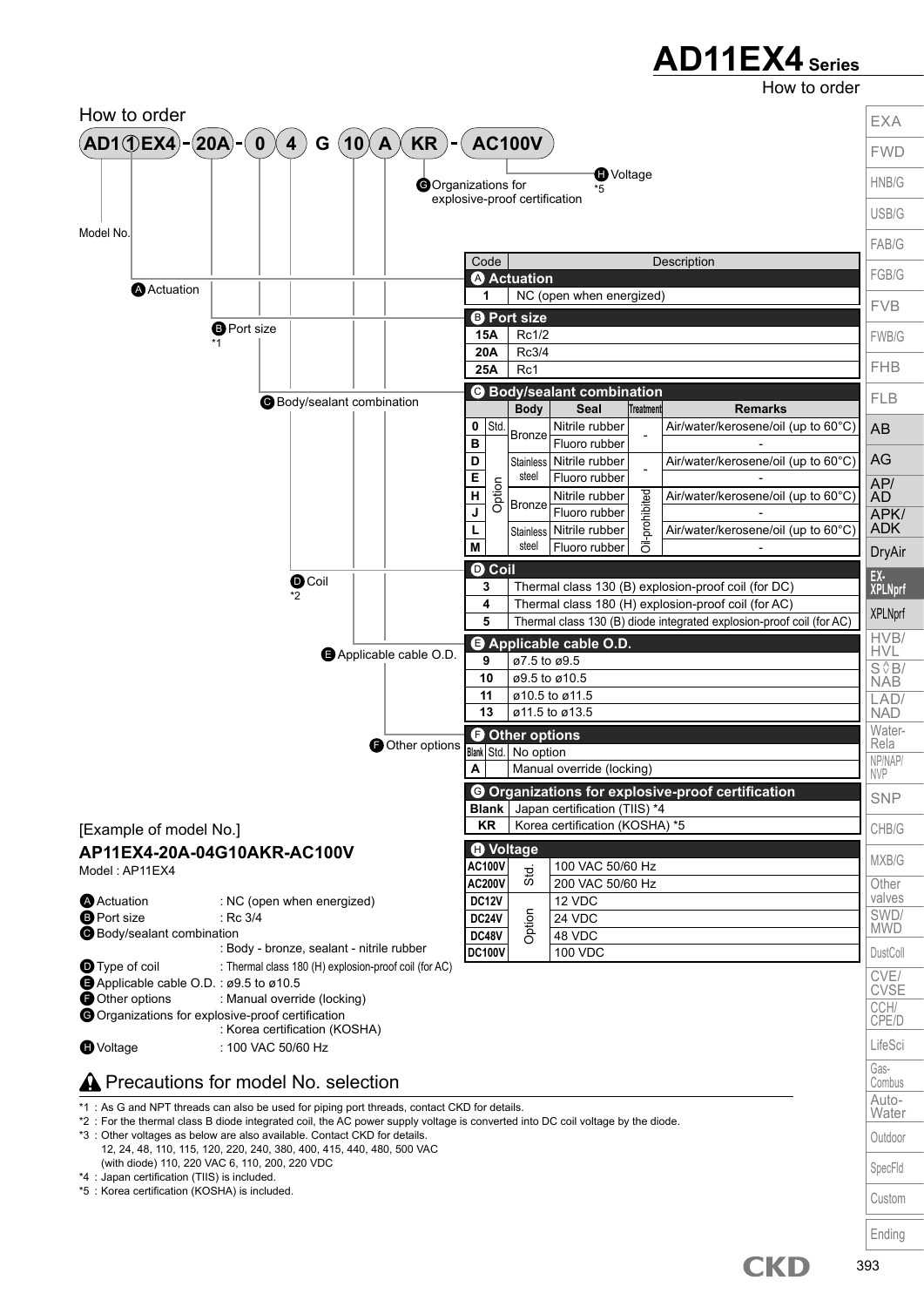How to order

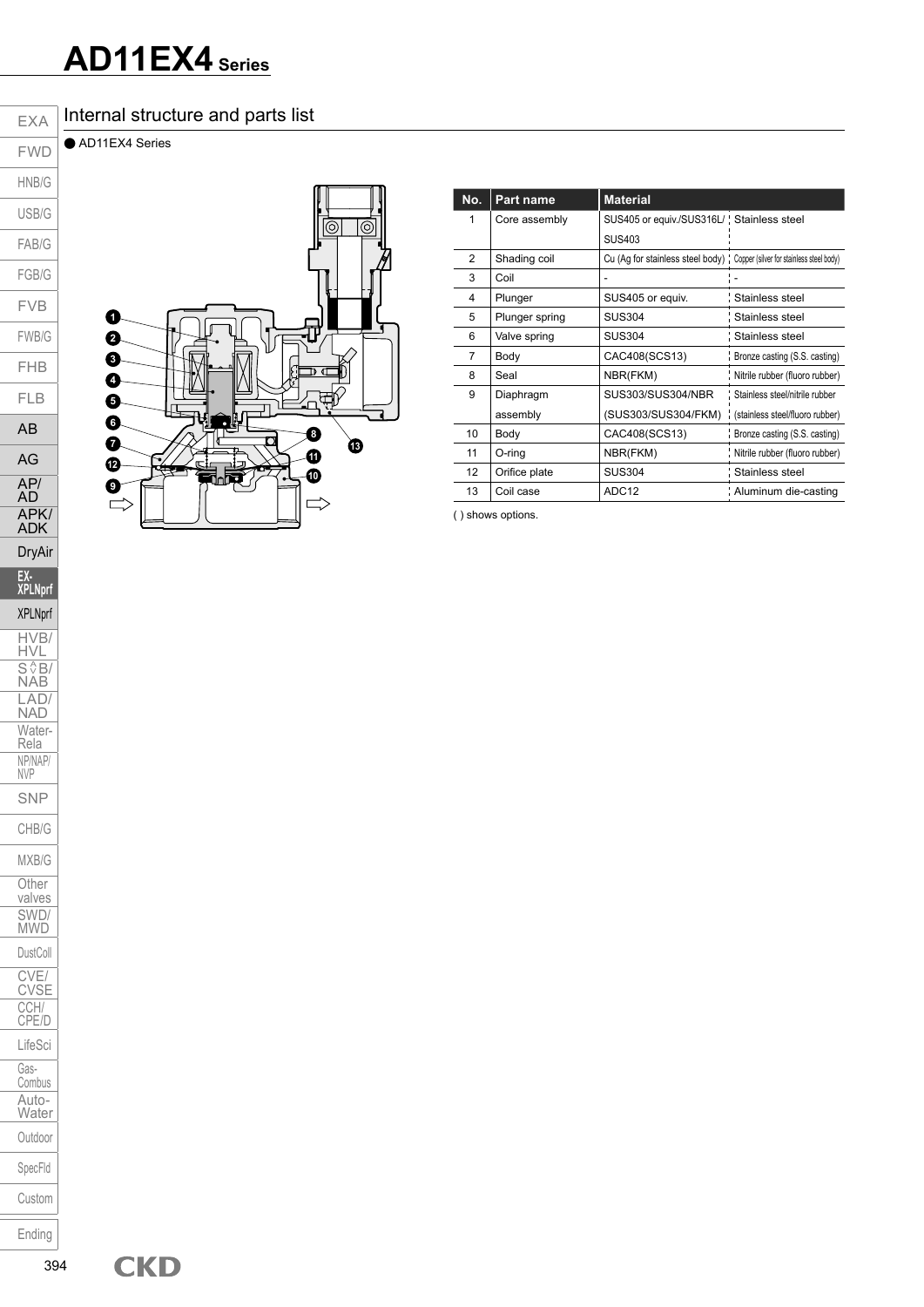#### Internal structure and parts list

● AD11EX4 Series



|                                  | No.            | Part name      | <b>Material</b>                                                             |                                 |
|----------------------------------|----------------|----------------|-----------------------------------------------------------------------------|---------------------------------|
| $\circledcirc$<br>$\circledcirc$ |                | Core assembly  | SUS405 or equiv./SUS316L/ Stainless steel                                   |                                 |
|                                  |                |                | <b>SUS403</b>                                                               |                                 |
|                                  | 2              | Shading coil   | Cu (Ag for stainless steel body) ; Copper (silver for stainless steel body) |                                 |
|                                  | 3              | Coil           |                                                                             |                                 |
|                                  | 4              | Plunger        | SUS405 or equiv.                                                            | Stainless steel                 |
|                                  | 5              | Plunger spring | <b>SUS304</b>                                                               | Stainless steel                 |
|                                  | 6              | Valve spring   | <b>SUS304</b>                                                               | Stainless steel                 |
|                                  | $\overline{7}$ | Body           | CAC408(SCS13)                                                               | Bronze casting (S.S. casting)   |
|                                  | 8              | Seal           | NBR(FKM)                                                                    | Nitrile rubber (fluoro rubber)  |
| स्र                              | 9              | Diaphragm      | SUS303/SUS304/NBR                                                           | Stainless steel/nitrile rubber  |
| a.                               |                | assembly       | (SUS303/SUS304/FKM)                                                         | (stainless steel/fluoro rubber) |
|                                  | 10             | Body           | CAC408(SCS13)                                                               | Bronze casting (S.S. casting)   |
| ®<br>41                          | 11             | O-ring         | NBR(FKM)                                                                    | Nitrile rubber (fluoro rubber)  |
| B<br>$\overline{10}$             | 12             | Orifice plate  | <b>SUS304</b>                                                               | Stainless steel                 |
|                                  | 13             | Coil case      | ADC <sub>12</sub>                                                           | Aluminum die-casting            |

( ) shows options.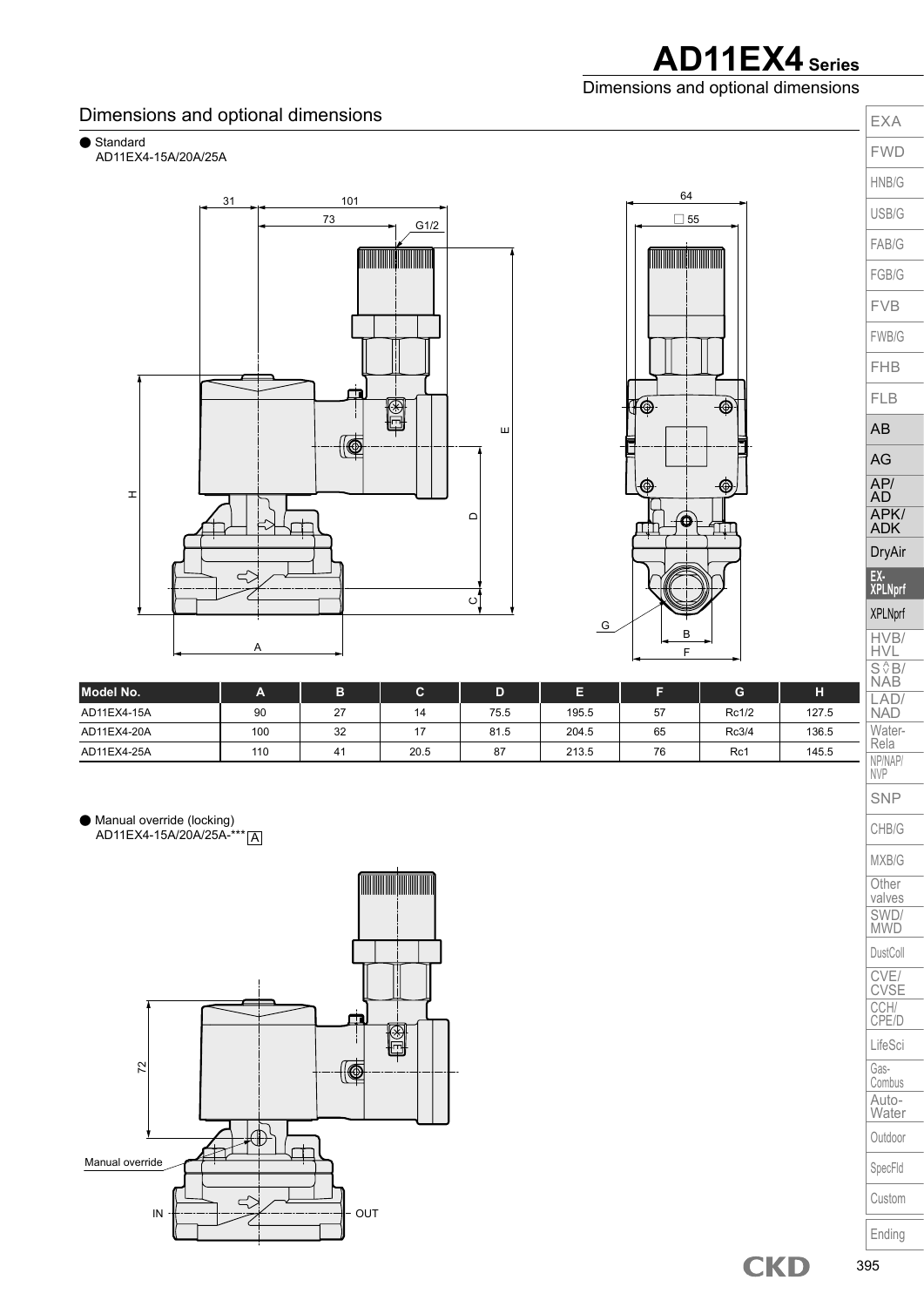**AD11EX4 Series** Dimensions and optional dimensions

> EXA FWD

#### Dimensions and optional dimensions

● Standard

AD11EX4-15A/20A/25A



| Model No.   | A   | כי                 | ັ    | D    | ▭<br>. – |    |       | н     |
|-------------|-----|--------------------|------|------|----------|----|-------|-------|
| AD11EX4-15A | 90  | $\sim$<br><u>_</u> | 14   | 75.5 | 195.5    | 57 | Rc1/2 | 127.5 |
| AD11EX4-20A | 100 | 32                 |      | 81.5 | 204.5    | 65 | Rc3/4 | 136.5 |
| AD11EX4-25A | 110 | 4                  | 20.5 | 87   | 213.5    | 76 | Rc1   | 145.5 |

● Manual override (locking) AD11EX4-15A/20A/25A-\*\*\* A



HVB/ HVL  $S \sqrt{\frac{A}{B}}$ NAB LAD/ NAD Water-Rela NP/NAP/ NVP SNP CHB/G MXB/G **Other** valves SWD/ MWD DustColl CVE/ CVSE CCH/ CPE/D LifeSci Gas-Combus Auto-**Water Outdoor** SpecFld Custom Ending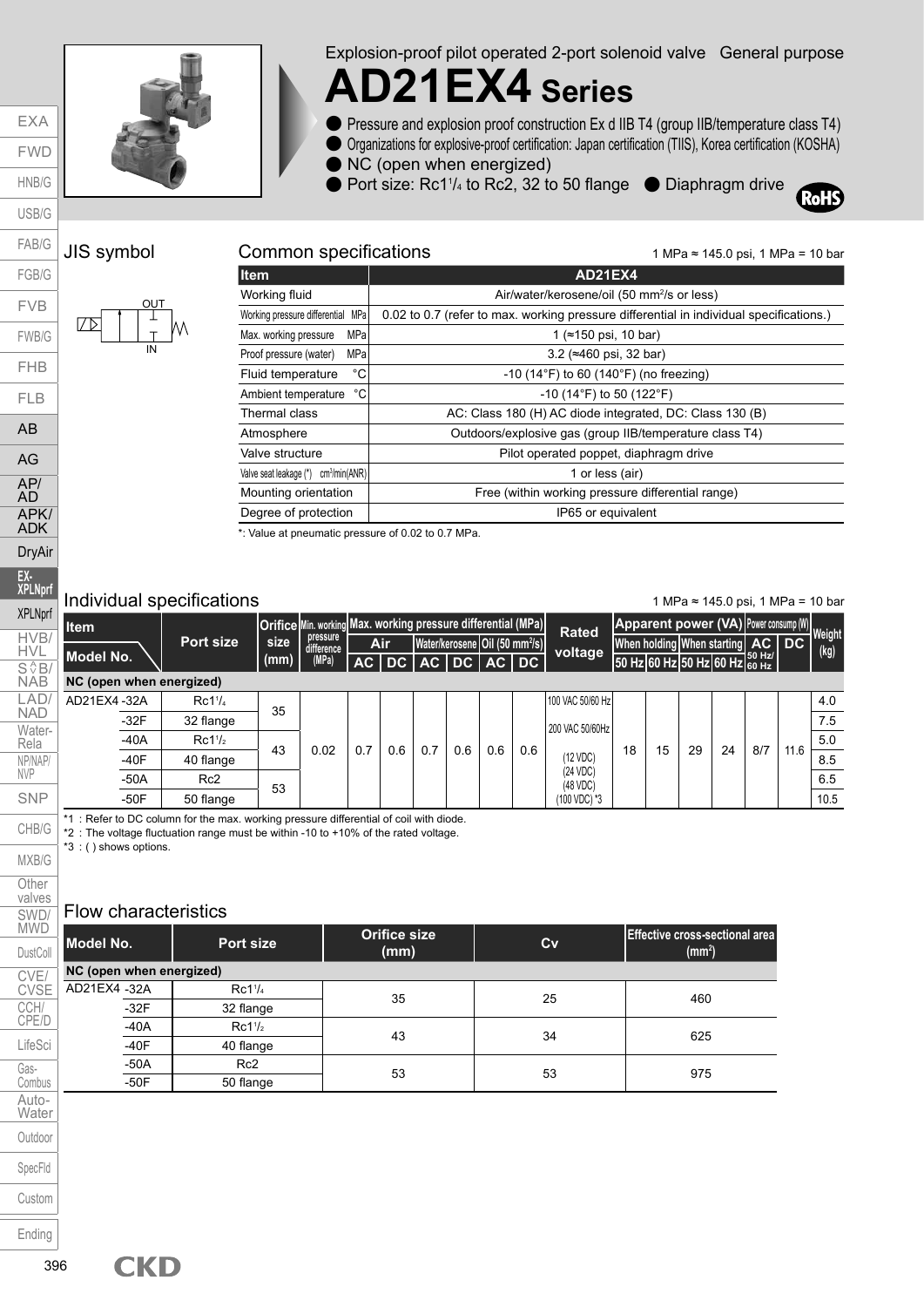

Explosion-proof pilot operated 2-port solenoid valve General purpose

# **AD21EX4 Series**

- Pressure and explosion proof construction Ex d IIB T4 (group IIB/temperature class T4)
- Organizations for explosive-proof certification: Japan certification (TIIS), Korea certification (KOSHA)
- NC (open when energized)

**Item AD21EX4** 

● Port size: Rc1<sup>1</sup>/<sub>4</sub> to Rc2, 32 to 50 flange ● Diaphragm drive



#### JIS symbol Common specifications

EXA FWD HNB/G



| Working fluid                                       | Air/water/kerosene/oil (50 mm <sup>2</sup> /s or less)                                  |  |  |  |  |  |  |
|-----------------------------------------------------|-----------------------------------------------------------------------------------------|--|--|--|--|--|--|
| Working pressure differential MPa                   | 0.02 to 0.7 (refer to max. working pressure differential in individual specifications.) |  |  |  |  |  |  |
| MPa<br>Max. working pressure                        | (≈150 psi, 10 bar)                                                                      |  |  |  |  |  |  |
| MPal<br>Proof pressure (water)                      | 3.2 ( $\approx$ 460 psi, 32 bar)                                                        |  |  |  |  |  |  |
| °C<br>Fluid temperature                             | $-10$ (14 $\degree$ F) to 60 (140 $\degree$ F) (no freezing)                            |  |  |  |  |  |  |
| °C∣<br>Ambient temperature                          | $-10$ (14°F) to 50 (122°F)                                                              |  |  |  |  |  |  |
| Thermal class                                       | AC: Class 180 (H) AC diode integrated, DC: Class 130 (B)                                |  |  |  |  |  |  |
| Atmosphere                                          | Outdoors/explosive gas (group IIB/temperature class T4)                                 |  |  |  |  |  |  |
| Valve structure                                     | Pilot operated poppet, diaphragm drive                                                  |  |  |  |  |  |  |
| cm <sup>3</sup> /min(ANR)<br>Valve seat leakage (*) | 1 or less (air)                                                                         |  |  |  |  |  |  |
| Mounting orientation                                | Free (within working pressure differential range)                                       |  |  |  |  |  |  |
| Degree of protection                                | IP65 or equivalent                                                                      |  |  |  |  |  |  |

\*: Value at pneumatic pressure of 0.02 to 0.7 MPa.

#### Individual specifications

1 MPa ≈ 145.0 psi, 1 MPa = 10 bar

1 MPa ≈ 145.0 psi, 1 MPa = 10 bar

| Item                     |                     |      | Orifice Min. working Max. working pressure differential (MPa) |     |                   |     |                                              |            | <b>Rated</b>         |    | Apparent power (VA) Power consump (W) |    |    |     |      |                       |
|--------------------------|---------------------|------|---------------------------------------------------------------|-----|-------------------|-----|----------------------------------------------|------------|----------------------|----|---------------------------------------|----|----|-----|------|-----------------------|
|                          | Port size           | size | pressure<br>difference                                        |     | Air               |     | Water/kerosene   Oil (50 mm <sup>2</sup> /s) |            | voltage              |    | When holding When starting   AC   DC  |    |    |     |      | <b>Weight</b><br>(kg) |
| Model No.                |                     | (mm) | (MPa)                                                         |     | AC DC AC DC AC DC |     |                                              |            |                      |    | 50 Hz 60 Hz 50 Hz 60 Hz 60 Hz         |    |    |     |      |                       |
| NC (open when energized) |                     |      |                                                               |     |                   |     |                                              |            |                      |    |                                       |    |    |     |      |                       |
| AD21EX4-32A              | Rc1 <sup>1</sup> /4 | 35   |                                                               |     |                   |     |                                              |            | 100 VAC 50/60 Hz     |    |                                       |    |    |     |      | 4.0                   |
| $-32F$                   | 32 flange           |      |                                                               |     |                   |     |                                              |            | 200 VAC 50/60Hz      |    |                                       |    |    |     |      | 7.5                   |
| $-40A$                   | Rc1 <sup>1</sup> /2 | 43   | 0.02                                                          | 0.7 | 0.6               | 0.6 |                                              |            |                      |    | 15                                    | 29 |    |     |      | 5.0                   |
| $-40F$                   | 40 flange           |      |                                                               |     |                   |     |                                              | 0.6<br>0.6 | (12 VDC)             | 18 |                                       |    | 24 | 8/7 | 11.6 | 8.5                   |
| $-50A$                   | Rc <sub>2</sub>     | 53   |                                                               |     |                   |     |                                              |            | (24 VDC)<br>(48 VDC) |    |                                       |    |    |     |      | 6.5                   |
| $-50F$                   | 50 flange           |      |                                                               |     |                   |     |                                              |            | 100 VDC) *3          |    |                                       |    |    |     |      | 10.5                  |

\*1 : Refer to DC column for the max. working pressure differential of coil with diode.

\*2 : The voltage fluctuation range must be within -10 to +10% of the rated voltage.

\*3 : ( ) shows options.

#### Flow characteristics

| <b>Model No.</b>         | Port size           | <b>Orifice size</b><br>(mm) | Cv | <b>Effective cross-sectional area</b><br>(mm <sup>2</sup> ) |
|--------------------------|---------------------|-----------------------------|----|-------------------------------------------------------------|
| NC (open when energized) |                     |                             |    |                                                             |
| AD21EX4 -32A             | Rc1 <sup>1</sup> /4 |                             | 25 |                                                             |
| $-32F$                   | 32 flange           | 35                          |    | 460                                                         |
| $-40A$                   | Rc1 <sup>1</sup> /2 |                             | 34 |                                                             |
| $-40F$                   | 40 flange           | 43                          |    | 625                                                         |
| $-50A$                   | Rc <sub>2</sub>     | 53                          | 53 | 975                                                         |
| $-50F$                   | 50 flange           |                             |    |                                                             |

**CKD**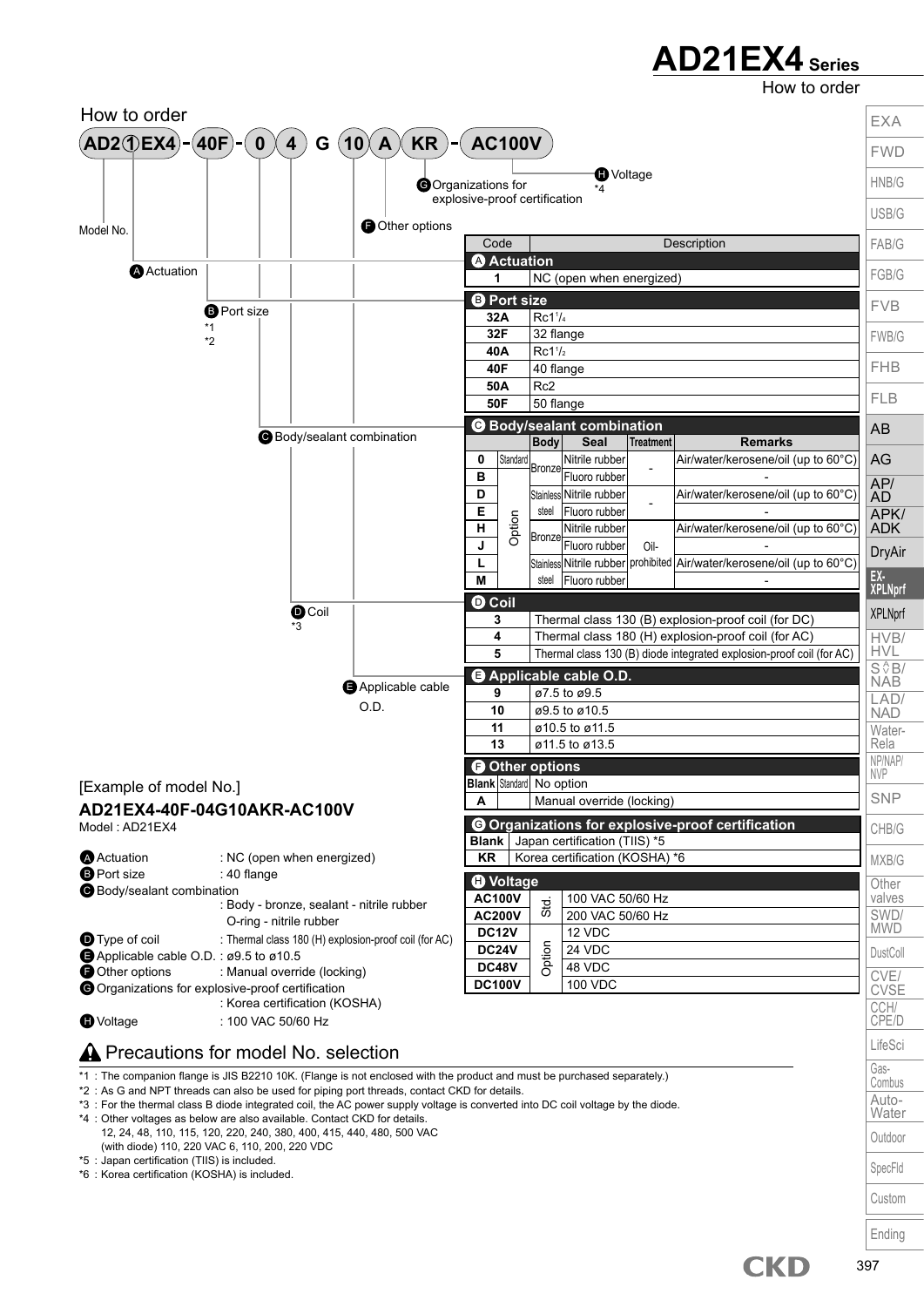How to order

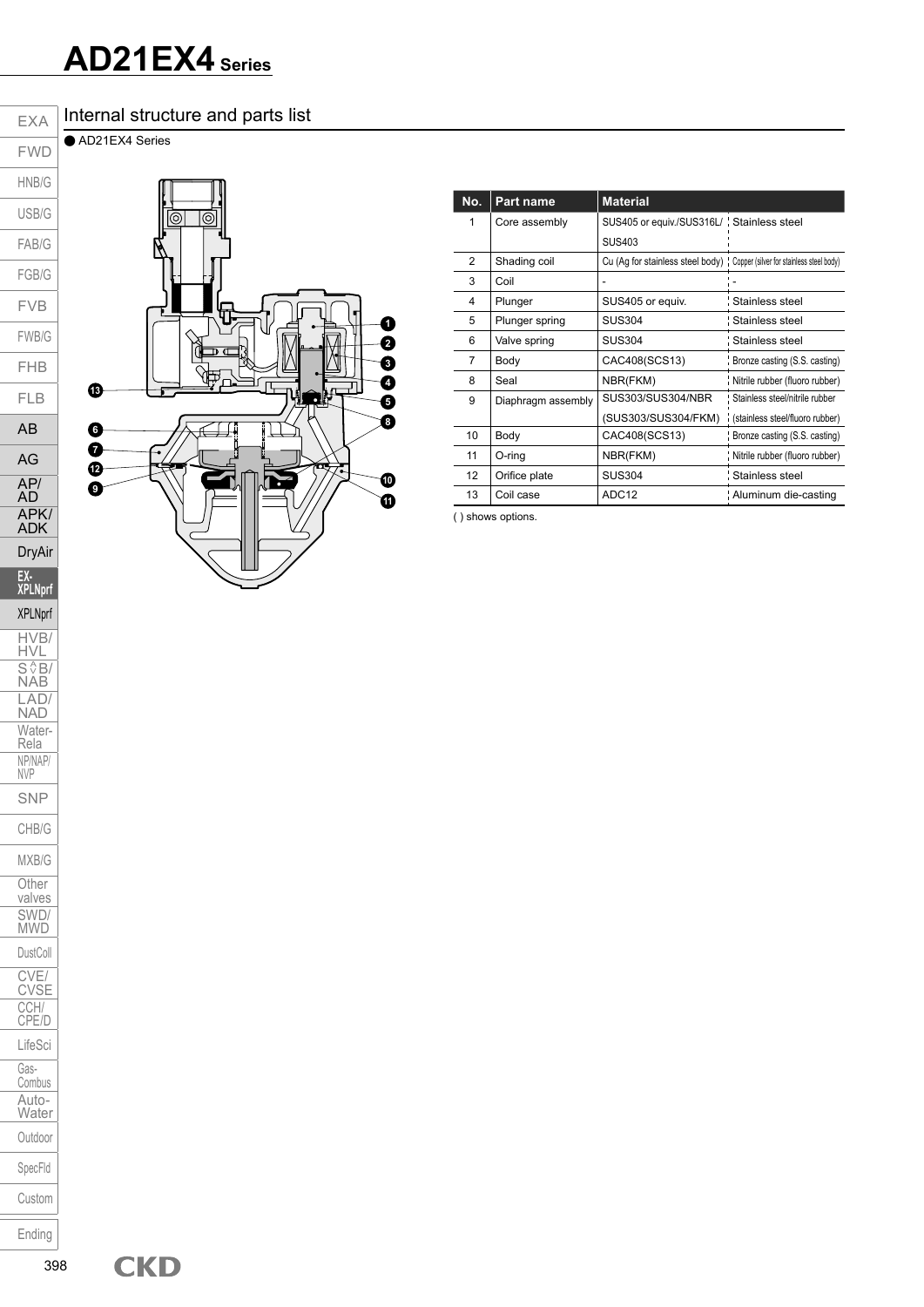#### Internal structure and parts list

● AD21EX4 Series

EXA



| No. | <b>Part name</b>   | <b>Material</b>                                                             |                                  |
|-----|--------------------|-----------------------------------------------------------------------------|----------------------------------|
| 1   | Core assembly      | SUS405 or equiv./SUS316L/ Stainless steel                                   |                                  |
|     |                    | <b>SUS403</b>                                                               |                                  |
| 2   | Shading coil       | Cu (Ag for stainless steel body) : Copper (silver for stainless steel body) |                                  |
| 3   | Coil               |                                                                             |                                  |
| 4   | Plunger            | SUS405 or equiv.                                                            | Stainless steel                  |
| 5   | Plunger spring     | <b>SUS304</b>                                                               | : Stainless steel                |
| 6   | Valve spring       | <b>SUS304</b>                                                               | : Stainless steel                |
| 7   | Body               | CAC408(SCS13)                                                               | Bronze casting (S.S. casting)    |
| 8   | Seal               | NBR(FKM)                                                                    | Nitrile rubber (fluoro rubber)   |
| 9   | Diaphragm assembly | SUS303/SUS304/NBR                                                           | : Stainless steel/nitrile rubber |
|     |                    | (SUS303/SUS304/FKM)                                                         | (stainless steel/fluoro rubber)  |
| 10  | Body               | CAC408(SCS13)                                                               | Bronze casting (S.S. casting)    |
| 11  | O-ring             | NBR(FKM)                                                                    | Nitrile rubber (fluoro rubber)   |
| 12  | Orifice plate      | <b>SUS304</b>                                                               | : Stainless steel                |
| 13  | Coil case          | ADC <sub>12</sub>                                                           | Aluminum die-casting             |

( ) shows options.

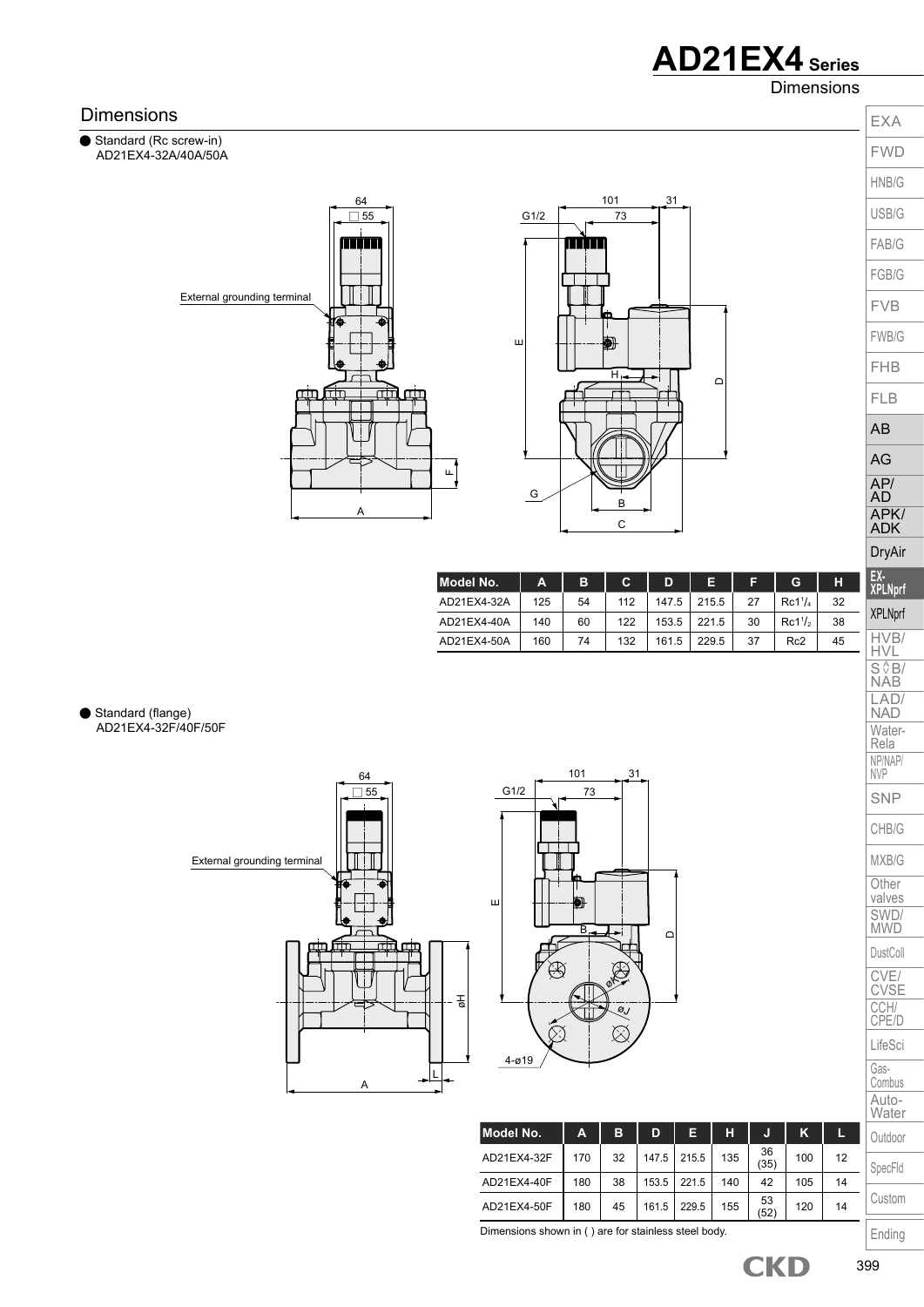Dimensions



399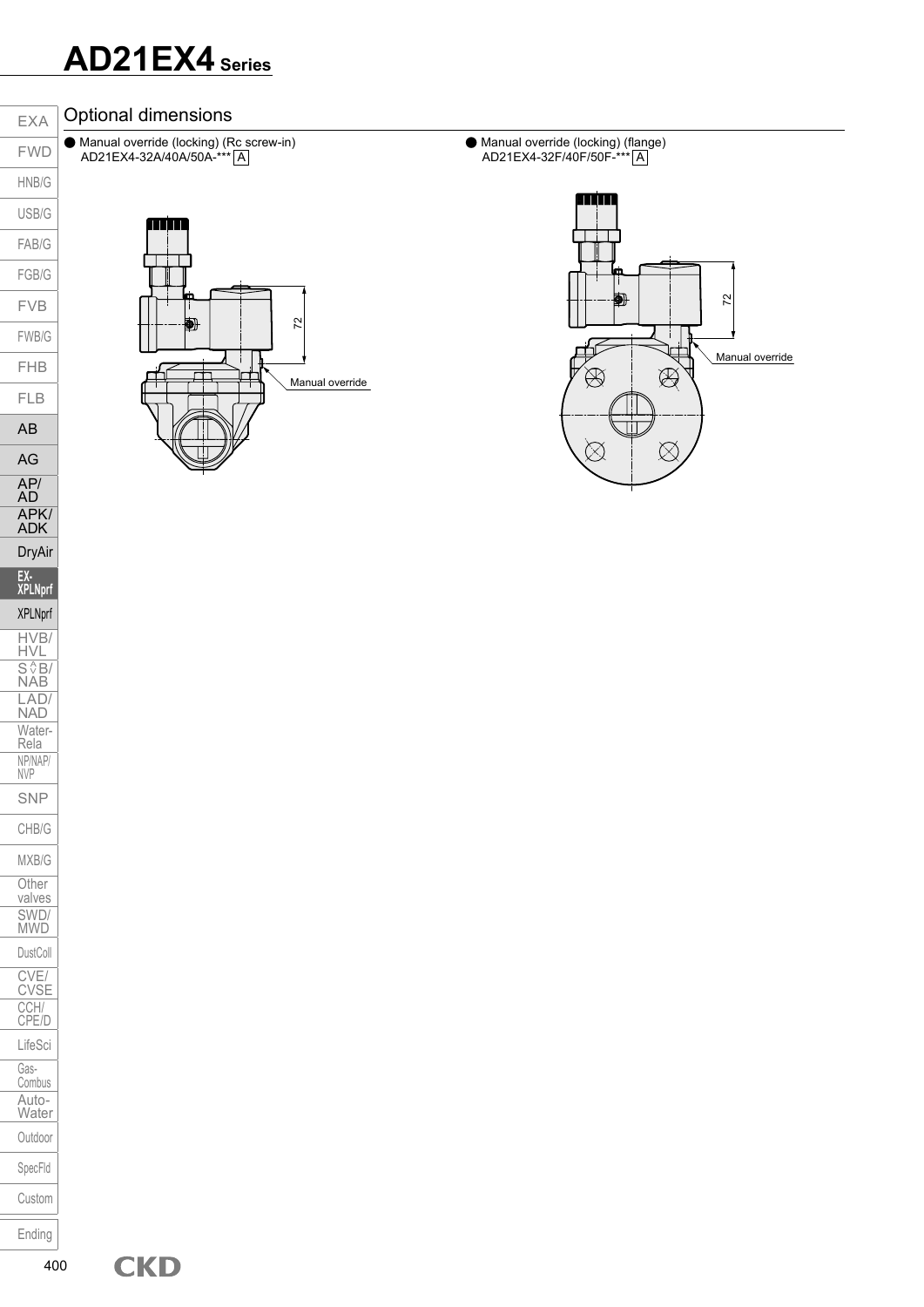#### Optional dimensions

● Manual override (locking) (Rc screw-in) AD21EX4-32A/40A/50A-\*\*\*| A

● Manual override (locking) (flange) AD21EX4-32F/40F/50F-\*\*\* A



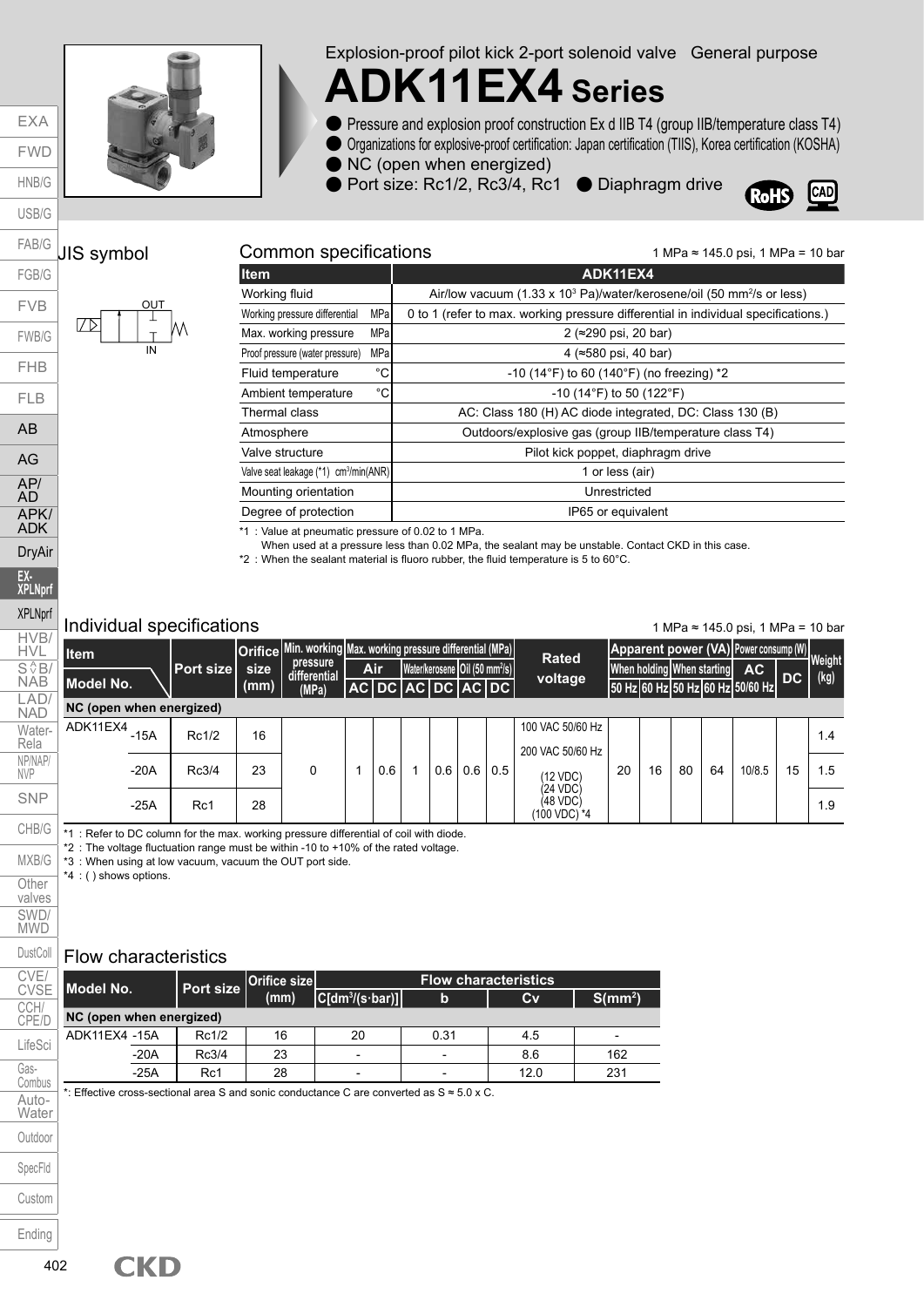

Explosion-proof pilot kick 2-port solenoid valve General purpose

## **ADK11EX4 Series**

- Pressure and explosion proof construction Ex d IIB T4 (group IIB/temperature class T4)
- Organizations for explosive-proof certification: Japan certification (TIIS), Korea certification (KOSHA)
- NC (open when energized)

● Port size: Rc1/2, Rc3/4, Rc1 ● Diaphragm drive



1 MPa ≈ 145.0 psi, 1 MPa = 10 bar

#### JIS symbol **Common specifications** FAB/G

EXA FWD HNB/G USB/G

FGB/G

FLB AB

AG AP/ AD APK/ ADK DryAir **EX-XPLNprf** XPLNprf HVB/ HVL  $S \sqrt{\frac{A}{2}}B/$ NAB LAD/ NAD Water-Rela NP/NAP/ NVP SNP CHB/G



| <b>Item</b>                                       |      | ADK11EX4                                                                                      |  |  |  |  |
|---------------------------------------------------|------|-----------------------------------------------------------------------------------------------|--|--|--|--|
| Working fluid                                     |      | Air/low vacuum (1.33 x 10 <sup>3</sup> Pa)/water/kerosene/oil (50 mm <sup>2</sup> /s or less) |  |  |  |  |
| Working pressure differential                     | MPal | 0 to 1 (refer to max. working pressure differential in individual specifications.)            |  |  |  |  |
| Max. working pressure                             | MPal | 2 (≈290 psi, 20 bar)                                                                          |  |  |  |  |
| Proof pressure (water pressure)                   | MPa  | 4 (≈580 psi, 40 bar)                                                                          |  |  |  |  |
| Fluid temperature                                 | °C   | -10 (14 $\degree$ F) to 60 (140 $\degree$ F) (no freezing) *2                                 |  |  |  |  |
| Ambient temperature                               | °C   | $-10$ (14°F) to 50 (122°F)                                                                    |  |  |  |  |
| Thermal class                                     |      | AC: Class 180 (H) AC diode integrated, DC: Class 130 (B)                                      |  |  |  |  |
| Atmosphere                                        |      | Outdoors/explosive gas (group IIB/temperature class T4)                                       |  |  |  |  |
| Valve structure                                   |      | Pilot kick poppet, diaphragm drive                                                            |  |  |  |  |
| Valve seat leakage (*1) cm <sup>3</sup> /min(ANR) |      | 1 or less (air)                                                                               |  |  |  |  |
| Mounting orientation                              |      | Unrestricted                                                                                  |  |  |  |  |
| Degree of protection                              |      | IP65 or equivalent                                                                            |  |  |  |  |

\*1 : Value at pneumatic pressure of 0.02 to 1 MPa.

When used at a pressure less than 0.02 MPa, the sealant may be unstable. Contact CKD in this case.

 $*2$  : When the sealant material is fluoro rubber, the fluid temperature is 5 to 60 $^{\circ}$ C.

#### Individual specifications

1 MPa ≈ 145.0 psi, 1 MPa = 10 bar

| <b>I</b> tem             |        |                   |              | Orifice Min. working Max. working pressure differential (MPa) |            |     |                                                                                                                                              |     | <b>Rated</b>                                     |    |           |                         |      | Apparent power (VA) Power consump (W) Weight |    |     |
|--------------------------|--------|-------------------|--------------|---------------------------------------------------------------|------------|-----|----------------------------------------------------------------------------------------------------------------------------------------------|-----|--------------------------------------------------|----|-----------|-------------------------|------|----------------------------------------------|----|-----|
| Model No.                |        | <b>Port sizel</b> | size<br>(mm) | pressure<br>differential<br>(MPa)                             | <b>Air</b> |     | Water/kerosene Oil (50 mm <sup>2</sup> /s)<br>When holding When starting<br>voltage<br>AC DC AC DC AC DC<br>50 Hz 60 Hz 50 Hz 60 Hz 50/60 Hz |     |                                                  |    | <b>AC</b> | $\overline{\mathsf{p}}$ | (kg) |                                              |    |     |
| NC (open when energized) |        |                   |              |                                                               |            |     |                                                                                                                                              |     |                                                  |    |           |                         |      |                                              |    |     |
| ADK11EX4                 | $-15A$ | Rc1/2             | 16           |                                                               |            |     |                                                                                                                                              |     | 100 VAC 50/60 Hz<br>200 VAC 50/60 Hz             |    |           |                         |      |                                              |    | 1.4 |
|                          | $-20A$ | Rc3/4             | 23           | 0                                                             | 0.6        | 0.6 | 0.6                                                                                                                                          | 0.5 | (12 VDC)                                         | 20 | 16        | 80                      | 64   | 10/8.5                                       | 15 | 1.5 |
|                          | $-25A$ | Rc1               | 28           |                                                               |            |     |                                                                                                                                              |     | (24 VDC)<br>(48 VDC)<br>(100 VDC) <sup>*</sup> 4 |    |           |                         |      |                                              |    | 1.9 |

\*1 : Refer to DC column for the max. working pressure differential of coil with diode.

\*2 : The voltage fluctuation range must be within -10 to +10% of the rated voltage.

\*3 : When using at low vacuum, vacuum the OUT port side.

\*4 : ( ) shows options.

#### Flow characteristics

| Model No.                |        | <b>Port size</b> | Orifice size |                                | <b>Flow characteristics</b> |                     |     |
|--------------------------|--------|------------------|--------------|--------------------------------|-----------------------------|---------------------|-----|
|                          |        |                  | (mm)         | $ C[dm^3/(s \cdot bar)] $<br>b | Cv                          | S(mm <sup>2</sup> ) |     |
| NC (open when energized) |        |                  |              |                                |                             |                     |     |
| ADK11EX4 -15A            |        | Rc1/2            | 16           | 20                             | 0.31                        | 4.5                 |     |
|                          | $-20A$ | Rc3/4            | 23           | $\overline{\phantom{0}}$       | $\overline{\phantom{a}}$    | 8.6                 | 162 |
|                          | $-25A$ | Rc1              | 28           |                                | ۰                           | 12.0                | 231 |

\*: Effective cross-sectional area S and sonic conductance C are converted as S ≈ 5.0 x C.

MXB/G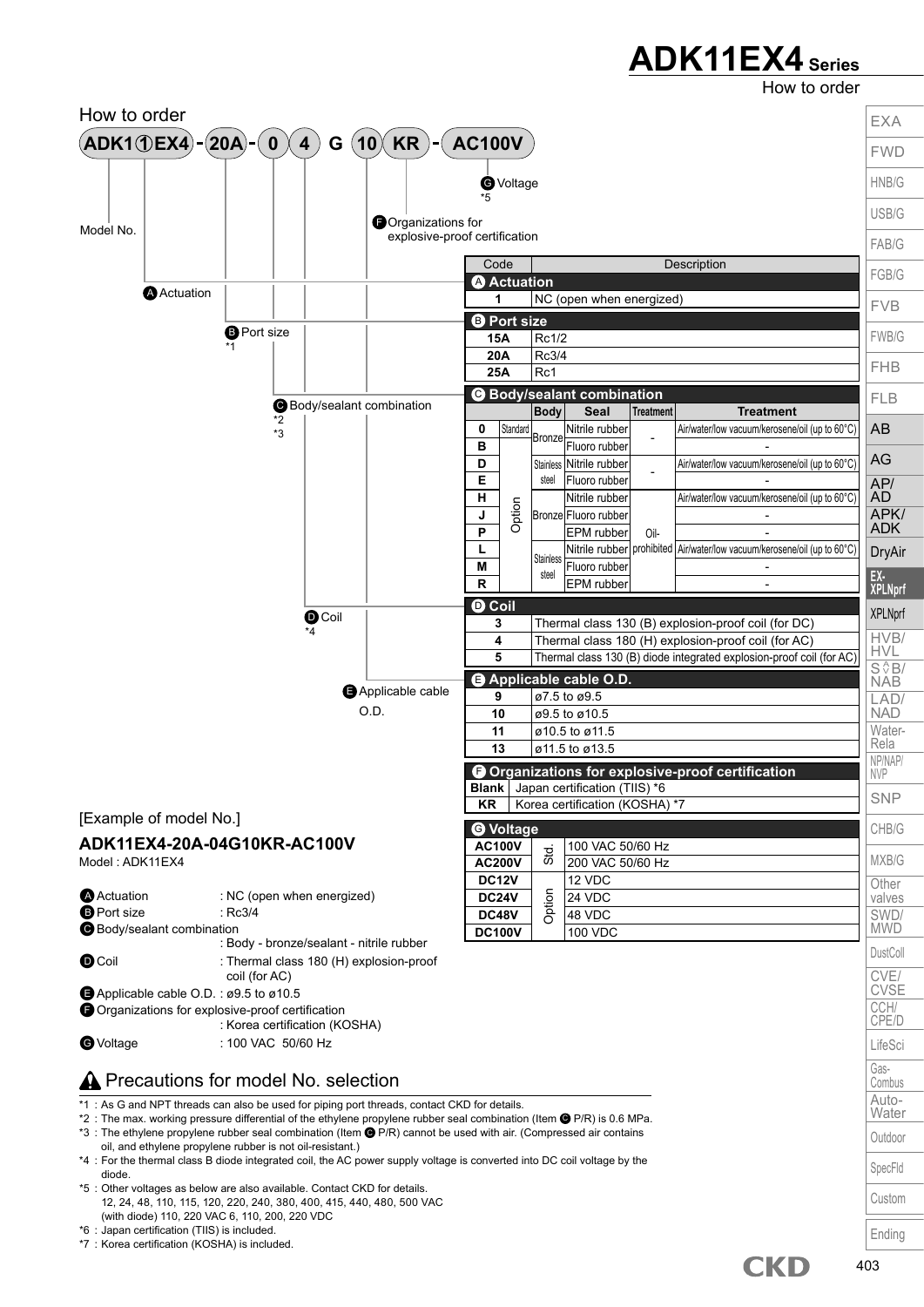### **ADK11EX4 Series**

How to order

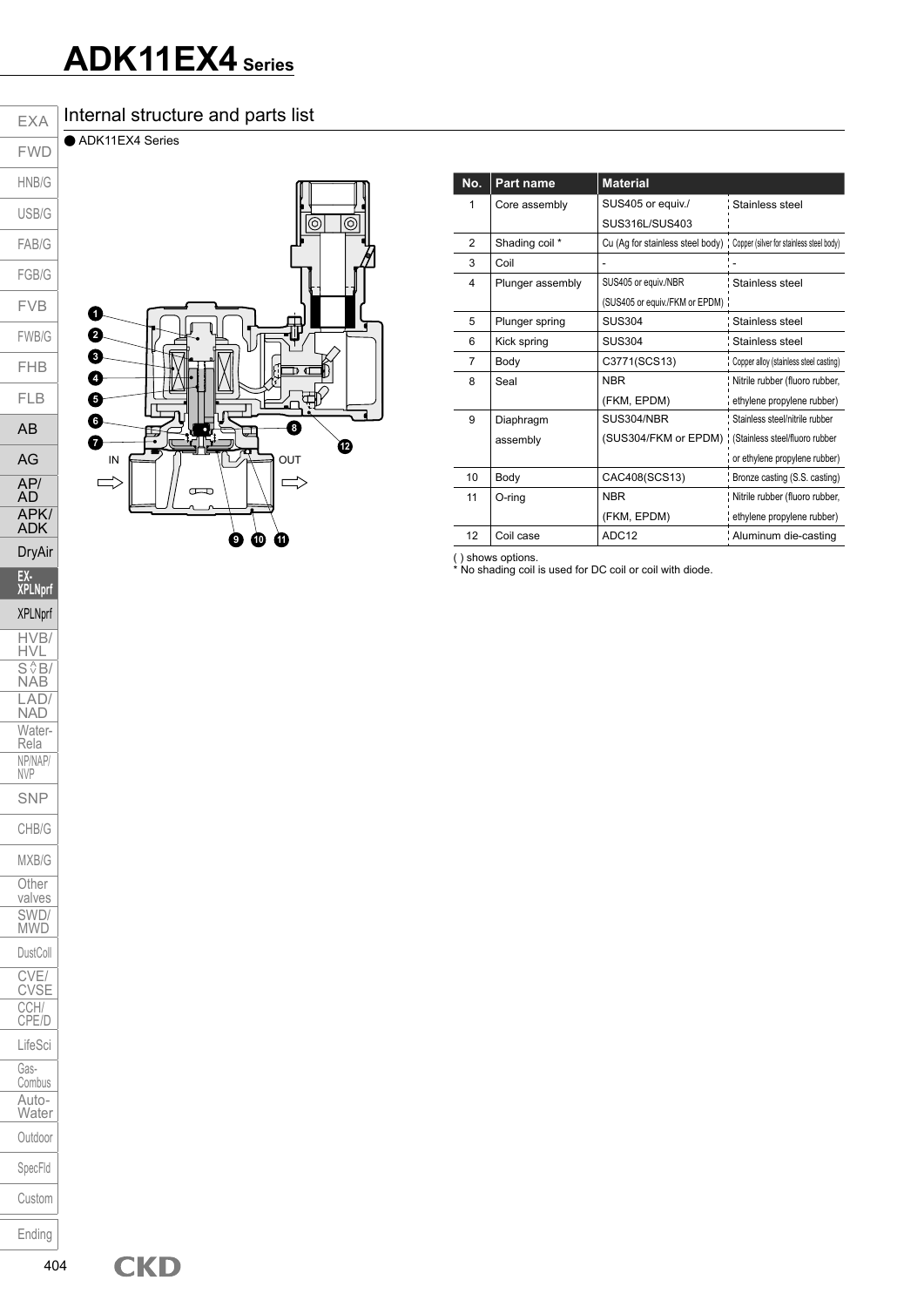### **ADK11EX4 Series**

#### Internal structure and parts list

● ADK11EX4 Series

EXA



| No. | Part name        | <b>Material</b>                                                             |                                        |
|-----|------------------|-----------------------------------------------------------------------------|----------------------------------------|
| 1   | Core assembly    | SUS405 or equiv./                                                           | Stainless steel                        |
|     |                  | SUS316L/SUS403                                                              |                                        |
| 2   | Shading coil *   | Cu (Ag for stainless steel body) ; Copper (silver for stainless steel body) |                                        |
| 3   | Coil             |                                                                             |                                        |
| 4   | Plunger assembly | SUS405 or equiv./NBR                                                        | : Stainless steel                      |
|     |                  | (SUS405 or equiv./FKM or EPDM):                                             |                                        |
| 5   | Plunger spring   | <b>SUS304</b>                                                               | : Stainless steel                      |
| 6   | Kick spring      | <b>SUS304</b>                                                               | : Stainless steel                      |
| 7   | Body             | C3771(SCS13)                                                                | Copper alloy (stainless steel casting) |
| 8   | Seal             | <b>NBR</b>                                                                  | Nitrile rubber (fluoro rubber,         |
|     |                  | (FKM, EPDM)                                                                 | ethylene propylene rubber)             |
| 9   | Diaphragm        | SUS304/NBR                                                                  | Stainless steel/nitrile rubber         |
|     | assembly         | (SUS304/FKM or EPDM)                                                        | (Stainless steel/fluoro rubber         |
|     |                  |                                                                             | or ethylene propylene rubber)          |
| 10  | Body             | CAC408(SCS13)                                                               | Bronze casting (S.S. casting)          |
| 11  | O-ring           | <b>NBR</b>                                                                  | Nitrile rubber (fluoro rubber,         |
|     |                  | (FKM, EPDM)                                                                 | ethylene propylene rubber)             |
| 12  | Coil case        | ADC12                                                                       | Aluminum die-casting                   |

( ) shows options.<br>\* No shading coil is used for DC coil or coil with diode.

FWD HNB/G USB/G FAB/G FGB/G FVB FWB/G FHB FLB AB AG AP/ AD APK/ ADK DryAir **EX-XPLNprf** XPLNprf HVB/ HVL  $S \sqrt{\frac{A}{2}}B/$ NAB LAD/ NAD Water-Rela NP/NAP/ NVP SNP CHB/G MXB/G **Other** valves SWD/ MWD DustColl CVE/ CVSE CCH/ CPE/D LifeSci Gas-Combus Auto-Water Outdoor SpecFld Custom Ending 404